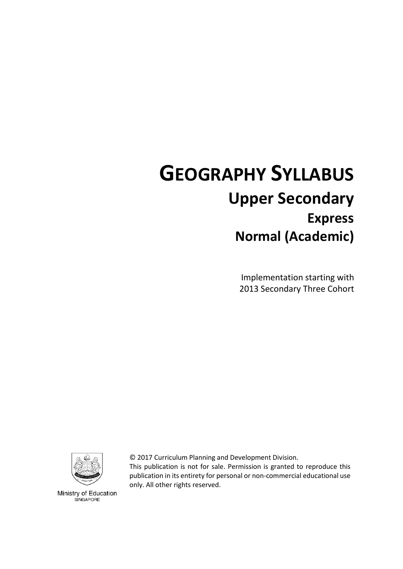# **GEOGRAPHY SYLLABUS Upper Secondary Express Normal (Academic)**

Implementation starting with 2013 Secondary Three Cohort



© 2017 Curriculum Planning and Development Division.

This publication is not for sale. Permission is granted to reproduce this publication in its entirety for personal or non-commercial educational use only. All other rights reserved.

Ministry of Education SINGAPORE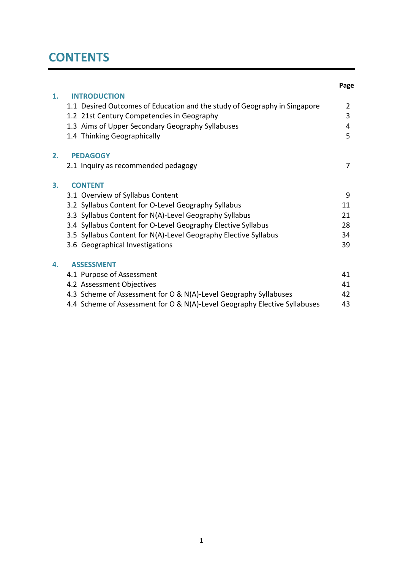# **CONTENTS**

|    |                                                                           | Page |
|----|---------------------------------------------------------------------------|------|
| 1. | <b>INTRODUCTION</b>                                                       |      |
|    | 1.1 Desired Outcomes of Education and the study of Geography in Singapore | 2    |
|    | 1.2 21st Century Competencies in Geography                                | 3    |
|    | 1.3 Aims of Upper Secondary Geography Syllabuses                          | 4    |
|    | 1.4 Thinking Geographically                                               | 5    |
| 2. | <b>PEDAGOGY</b>                                                           |      |
|    | 2.1 Inquiry as recommended pedagogy                                       | 7    |
| 3. | <b>CONTENT</b>                                                            |      |
|    | 3.1 Overview of Syllabus Content                                          | 9    |
|    | 3.2 Syllabus Content for O-Level Geography Syllabus                       | 11   |
|    | 3.3 Syllabus Content for N(A)-Level Geography Syllabus                    | 21   |
|    | 3.4 Syllabus Content for O-Level Geography Elective Syllabus              | 28   |
|    | 3.5 Syllabus Content for N(A)-Level Geography Elective Syllabus           | 34   |
|    | 3.6 Geographical Investigations                                           | 39   |
| 4. | <b>ASSESSMENT</b>                                                         |      |
|    | 4.1 Purpose of Assessment                                                 | 41   |
|    | 4.2 Assessment Objectives                                                 | 41   |
|    | 4.3 Scheme of Assessment for O & N(A)-Level Geography Syllabuses          | 42   |
|    | 4.4 Scheme of Assessment for O & N(A)-Level Geography Elective Syllabuses | 43   |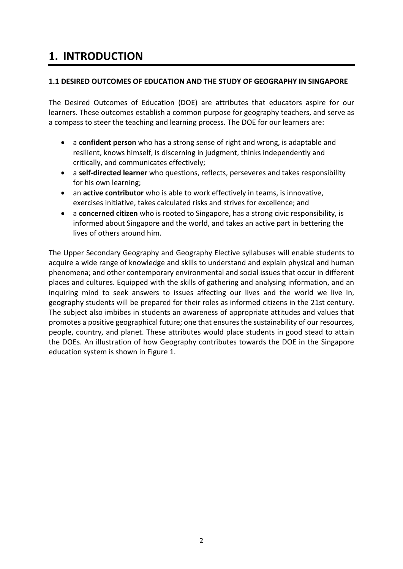## **1. INTRODUCTION**

#### **1.1 DESIRED OUTCOMES OF EDUCATION AND THE STUDY OF GEOGRAPHY IN SINGAPORE**

The Desired Outcomes of Education (DOE) are attributes that educators aspire for our learners. These outcomes establish a common purpose for geography teachers, and serve as a compass to steer the teaching and learning process. The DOE for our learners are:

- a **confident person** who has a strong sense of right and wrong, is adaptable and resilient, knows himself, is discerning in judgment, thinks independently and critically, and communicates effectively;
- a **self-directed learner** who questions, reflects, perseveres and takes responsibility for his own learning;
- an **active contributor** who is able to work effectively in teams, is innovative, exercises initiative, takes calculated risks and strives for excellence; and
- a **concerned citizen** who is rooted to Singapore, has a strong civic responsibility, is informed about Singapore and the world, and takes an active part in bettering the lives of others around him.

The Upper Secondary Geography and Geography Elective syllabuses will enable students to acquire a wide range of knowledge and skills to understand and explain physical and human phenomena; and other contemporary environmental and social issues that occur in different places and cultures. Equipped with the skills of gathering and analysing information, and an inquiring mind to seek answers to issues affecting our lives and the world we live in, geography students will be prepared for their roles as informed citizens in the 21st century. The subject also imbibes in students an awareness of appropriate attitudes and values that promotes a positive geographical future; one that ensures the sustainability of our resources, people, country, and planet. These attributes would place students in good stead to attain the DOEs. An illustration of how Geography contributes towards the DOE in the Singapore education system is shown in Figure 1.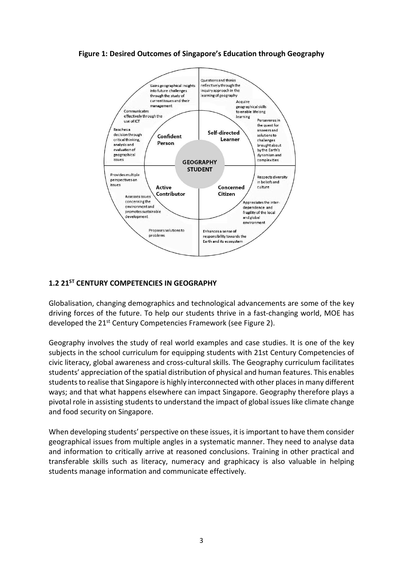**Figure 1: Desired Outcomes of Singapore's Education through Geography**



#### **1.2 21ST CENTURY COMPETENCIES IN GEOGRAPHY**

Globalisation, changing demographics and technological advancements are some of the key driving forces of the future. To help our students thrive in a fast-changing world, MOE has developed the 21<sup>st</sup> Century Competencies Framework (see Figure 2).

Geography involves the study of real world examples and case studies. It is one of the key subjects in the school curriculum for equipping students with 21st Century Competencies of civic literacy, global awareness and cross-cultural skills. The Geography curriculum facilitates students' appreciation of the spatial distribution of physical and human features. This enables students to realise that Singapore is highly interconnected with other places in many different ways; and that what happens elsewhere can impact Singapore. Geography therefore plays a pivotal role in assisting students to understand the impact of global issues like climate change and food security on Singapore.

When developing students' perspective on these issues, it is important to have them consider geographical issues from multiple angles in a systematic manner. They need to analyse data and information to critically arrive at reasoned conclusions. Training in other practical and transferable skills such as literacy, numeracy and graphicacy is also valuable in helping students manage information and communicate effectively.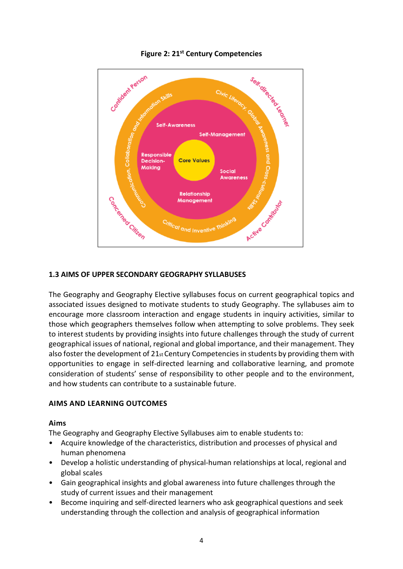

#### **Figure 2: 21st Century Competencies**

#### **1.3 AIMS OF UPPER SECONDARY GEOGRAPHY SYLLABUSES**

The Geography and Geography Elective syllabuses focus on current geographical topics and associated issues designed to motivate students to study Geography. The syllabuses aim to encourage more classroom interaction and engage students in inquiry activities, similar to those which geographers themselves follow when attempting to solve problems. They seek to interest students by providing insights into future challenges through the study of current geographical issues of national, regional and global importance, and their management. They also foster the development of 21st Century Competencies in students by providing them with opportunities to engage in self-directed learning and collaborative learning, and promote consideration of students' sense of responsibility to other people and to the environment, and how students can contribute to a sustainable future.

#### **AIMS AND LEARNING OUTCOMES**

#### **Aims**

The Geography and Geography Elective Syllabuses aim to enable students to:

- Acquire knowledge of the characteristics, distribution and processes of physical and human phenomena
- Develop a holistic understanding of physical-human relationships at local, regional and global scales
- Gain geographical insights and global awareness into future challenges through the study of current issues and their management
- Become inquiring and self-directed learners who ask geographical questions and seek understanding through the collection and analysis of geographical information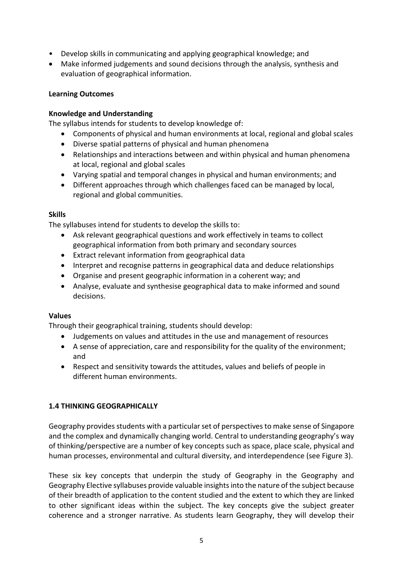- Develop skills in communicating and applying geographical knowledge; and
- Make informed judgements and sound decisions through the analysis, synthesis and evaluation of geographical information.

#### **Learning Outcomes**

#### **Knowledge and Understanding**

The syllabus intends for students to develop knowledge of:

- Components of physical and human environments at local, regional and global scales
- Diverse spatial patterns of physical and human phenomena
- Relationships and interactions between and within physical and human phenomena at local, regional and global scales
- Varying spatial and temporal changes in physical and human environments; and
- Different approaches through which challenges faced can be managed by local, regional and global communities.

#### **Skills**

The syllabuses intend for students to develop the skills to:

- Ask relevant geographical questions and work effectively in teams to collect geographical information from both primary and secondary sources
- Extract relevant information from geographical data
- Interpret and recognise patterns in geographical data and deduce relationships
- Organise and present geographic information in a coherent way; and
- Analyse, evaluate and synthesise geographical data to make informed and sound decisions.

#### **Values**

Through their geographical training, students should develop:

- Judgements on values and attitudes in the use and management of resources
- A sense of appreciation, care and responsibility for the quality of the environment; and
- Respect and sensitivity towards the attitudes, values and beliefs of people in different human environments.

#### **1.4 THINKING GEOGRAPHICALLY**

Geography provides students with a particular set of perspectives to make sense of Singapore and the complex and dynamically changing world. Central to understanding geography's way of thinking/perspective are a number of key concepts such as space, place scale, physical and human processes, environmental and cultural diversity, and interdependence (see Figure 3).

These six key concepts that underpin the study of Geography in the Geography and Geography Elective syllabuses provide valuable insights into the nature of the subject because of their breadth of application to the content studied and the extent to which they are linked to other significant ideas within the subject. The key concepts give the subject greater coherence and a stronger narrative. As students learn Geography, they will develop their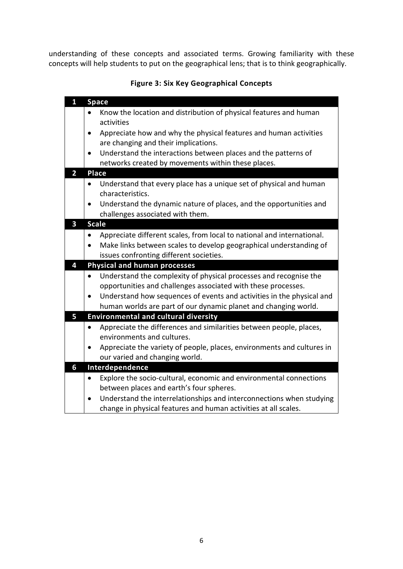understanding of these concepts and associated terms. Growing familiarity with these concepts will help students to put on the geographical lens; that is to think geographically.

| $\mathbf{1}$   | <b>Space</b>                                                                                                                                                                                         |
|----------------|------------------------------------------------------------------------------------------------------------------------------------------------------------------------------------------------------|
|                | Know the location and distribution of physical features and human                                                                                                                                    |
|                | activities                                                                                                                                                                                           |
|                | Appreciate how and why the physical features and human activities<br>$\bullet$                                                                                                                       |
|                | are changing and their implications.                                                                                                                                                                 |
|                | Understand the interactions between places and the patterns of<br>$\bullet$                                                                                                                          |
|                | networks created by movements within these places.                                                                                                                                                   |
| $\overline{2}$ | <b>Place</b>                                                                                                                                                                                         |
|                | Understand that every place has a unique set of physical and human<br>$\bullet$<br>characteristics.                                                                                                  |
|                | Understand the dynamic nature of places, and the opportunities and<br>$\bullet$<br>challenges associated with them.                                                                                  |
| 3              | <b>Scale</b>                                                                                                                                                                                         |
|                | Appreciate different scales, from local to national and international.<br>$\bullet$<br>Make links between scales to develop geographical understanding of<br>issues confronting different societies. |
| 4              | <b>Physical and human processes</b>                                                                                                                                                                  |
|                | Understand the complexity of physical processes and recognise the<br>$\bullet$<br>opportunities and challenges associated with these processes.                                                      |
|                | Understand how sequences of events and activities in the physical and                                                                                                                                |
|                | human worlds are part of our dynamic planet and changing world.                                                                                                                                      |
| 5              | <b>Environmental and cultural diversity</b>                                                                                                                                                          |
|                | Appreciate the differences and similarities between people, places,<br>$\bullet$                                                                                                                     |
|                | environments and cultures.                                                                                                                                                                           |
|                | Appreciate the variety of people, places, environments and cultures in                                                                                                                               |
|                | our varied and changing world.                                                                                                                                                                       |
| 6              | Interdependence                                                                                                                                                                                      |
|                | Explore the socio-cultural, economic and environmental connections<br>$\bullet$                                                                                                                      |
|                | between places and earth's four spheres.                                                                                                                                                             |
|                | Understand the interrelationships and interconnections when studying                                                                                                                                 |
|                | change in physical features and human activities at all scales.                                                                                                                                      |

**Figure 3: Six Key Geographical Concepts**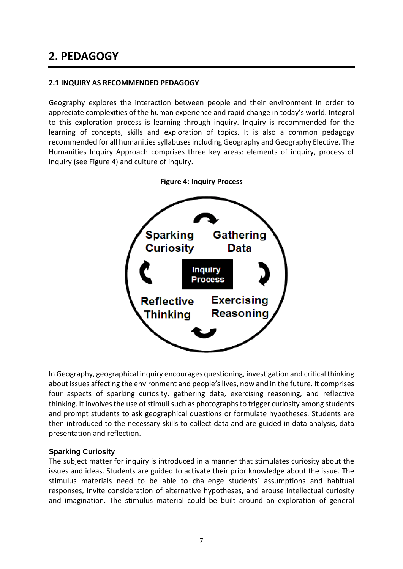# **2. PEDAGOGY**

#### **2.1 INQUIRY AS RECOMMENDED PEDAGOGY**

Geography explores the interaction between people and their environment in order to appreciate complexities of the human experience and rapid change in today's world. Integral to this exploration process is learning through inquiry. Inquiry is recommended for the learning of concepts, skills and exploration of topics. It is also a common pedagogy recommended for all humanities syllabuses including Geography and Geography Elective. The Humanities Inquiry Approach comprises three key areas: elements of inquiry, process of inquiry (see Figure 4) and culture of inquiry.



**Figure 4: Inquiry Process**

In Geography, geographical inquiry encourages questioning, investigation and critical thinking about issues affecting the environment and people's lives, now and in the future. It comprises four aspects of sparking curiosity, gathering data, exercising reasoning, and reflective thinking. It involves the use of stimuli such as photographs to trigger curiosity among students and prompt students to ask geographical questions or formulate hypotheses. Students are then introduced to the necessary skills to collect data and are guided in data analysis, data presentation and reflection.

#### **Sparking Curiosity**

The subject matter for inquiry is introduced in a manner that stimulates curiosity about the issues and ideas. Students are guided to activate their prior knowledge about the issue. The stimulus materials need to be able to challenge students' assumptions and habitual responses, invite consideration of alternative hypotheses, and arouse intellectual curiosity and imagination. The stimulus material could be built around an exploration of general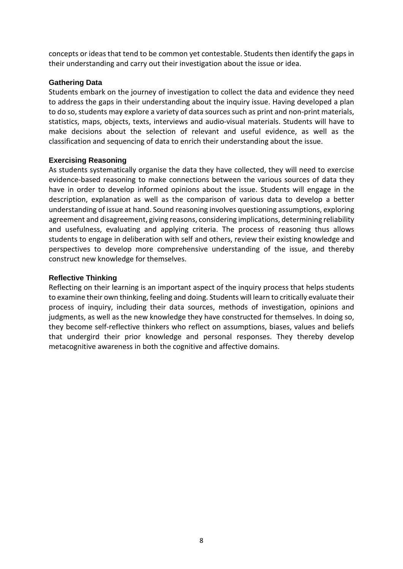concepts or ideas that tend to be common yet contestable. Students then identify the gaps in their understanding and carry out their investigation about the issue or idea.

#### **Gathering Data**

Students embark on the journey of investigation to collect the data and evidence they need to address the gaps in their understanding about the inquiry issue. Having developed a plan to do so, students may explore a variety of data sources such as print and non-print materials, statistics, maps, objects, texts, interviews and audio-visual materials. Students will have to make decisions about the selection of relevant and useful evidence, as well as the classification and sequencing of data to enrich their understanding about the issue.

#### **Exercising Reasoning**

As students systematically organise the data they have collected, they will need to exercise evidence-based reasoning to make connections between the various sources of data they have in order to develop informed opinions about the issue. Students will engage in the description, explanation as well as the comparison of various data to develop a better understanding of issue at hand. Sound reasoning involves questioning assumptions, exploring agreement and disagreement, giving reasons, considering implications, determining reliability and usefulness, evaluating and applying criteria. The process of reasoning thus allows students to engage in deliberation with self and others, review their existing knowledge and perspectives to develop more comprehensive understanding of the issue, and thereby construct new knowledge for themselves.

#### **Reflective Thinking**

Reflecting on their learning is an important aspect of the inquiry process that helps students to examine their own thinking, feeling and doing. Students will learn to critically evaluate their process of inquiry, including their data sources, methods of investigation, opinions and judgments, as well as the new knowledge they have constructed for themselves. In doing so, they become self-reflective thinkers who reflect on assumptions, biases, values and beliefs that undergird their prior knowledge and personal responses. They thereby develop metacognitive awareness in both the cognitive and affective domains.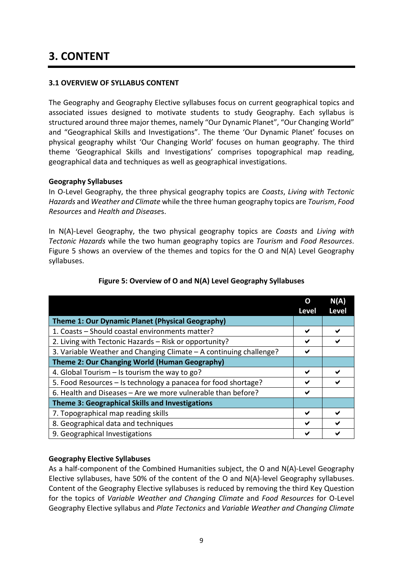# **3. CONTENT**

#### **3.1 OVERVIEW OF SYLLABUS CONTENT**

The Geography and Geography Elective syllabuses focus on current geographical topics and associated issues designed to motivate students to study Geography. Each syllabus is structured around three major themes, namely "Our Dynamic Planet", "Our Changing World" and "Geographical Skills and Investigations". The theme 'Our Dynamic Planet' focuses on physical geography whilst 'Our Changing World' focuses on human geography. The third theme 'Geographical Skills and Investigations' comprises topographical map reading, geographical data and techniques as well as geographical investigations.

#### **Geography Syllabuses**

In O-Level Geography, the three physical geography topics are *Coasts*, *Living with Tectonic Hazards* and *Weather and Climate* while the three human geography topics are *Tourism*, *Food Resources* and *Health and Disease*s.

In N(A)-Level Geography, the two physical geography topics are *Coasts* and *Living with Tectonic Hazards* while the two human geography topics are *Tourism* and *Food Resources*. Figure 5 shows an overview of the themes and topics for the O and N(A) Level Geography syllabuses.

|                                                                    | O<br><b>Level</b> | N(A)<br><b>Level</b> |
|--------------------------------------------------------------------|-------------------|----------------------|
| <b>Theme 1: Our Dynamic Planet (Physical Geography)</b>            |                   |                      |
| 1. Coasts - Should coastal environments matter?                    |                   |                      |
| 2. Living with Tectonic Hazards - Risk or opportunity?             | ✔                 |                      |
| 3. Variable Weather and Changing Climate - A continuing challenge? |                   |                      |
| <b>Theme 2: Our Changing World (Human Geography)</b>               |                   |                      |
| 4. Global Tourism - Is tourism the way to go?                      |                   |                      |
| 5. Food Resources - Is technology a panacea for food shortage?     |                   |                      |
| 6. Health and Diseases - Are we more vulnerable than before?       | ✔                 |                      |
| <b>Theme 3: Geographical Skills and Investigations</b>             |                   |                      |
| 7. Topographical map reading skills                                |                   |                      |
| 8. Geographical data and techniques                                | ✔                 |                      |
| 9. Geographical Investigations                                     |                   |                      |

#### **Figure 5: Overview of O and N(A) Level Geography Syllabuses**

#### **Geography Elective Syllabuses**

As a half-component of the Combined Humanities subject, the O and N(A)-Level Geography Elective syllabuses, have 50% of the content of the O and N(A)-level Geography syllabuses. Content of the Geography Elective syllabuses is reduced by removing the third Key Question for the topics of *Variable Weather and Changing Climate* and *Food Resources* for O-Level Geography Elective syllabus and *Plate Tectonics* and *Variable Weather and Changing Climate*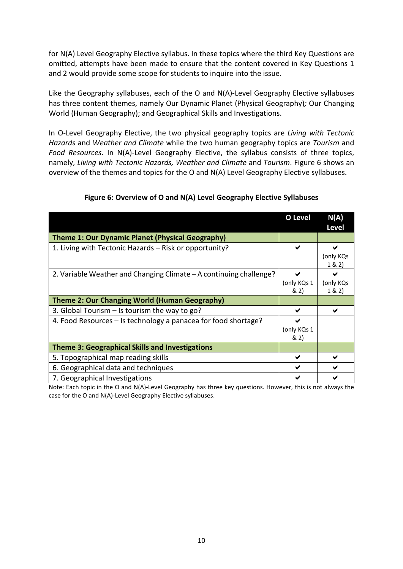for N(A) Level Geography Elective syllabus. In these topics where the third Key Questions are omitted, attempts have been made to ensure that the content covered in Key Questions 1 and 2 would provide some scope for students to inquire into the issue.

Like the Geography syllabuses, each of the O and N(A)-Level Geography Elective syllabuses has three content themes, namely Our Dynamic Planet (Physical Geography)*;* Our Changing World (Human Geography); and Geographical Skills and Investigations.

In O-Level Geography Elective, the two physical geography topics are *Living with Tectonic Hazards* and *Weather and Climate* while the two human geography topics are *Tourism* and *Food Resources*. In N(A)-Level Geography Elective, the syllabus consists of three topics, namely, *Living with Tectonic Hazards, Weather and Climate* and *Tourism*. Figure 6 shows an overview of the themes and topics for the O and N(A) Level Geography Elective syllabuses.

|                                                                    | <b>O</b> Level | N(A)                |
|--------------------------------------------------------------------|----------------|---------------------|
|                                                                    |                | <b>Level</b>        |
| <b>Theme 1: Our Dynamic Planet (Physical Geography)</b>            |                |                     |
| 1. Living with Tectonic Hazards - Risk or opportunity?             |                |                     |
|                                                                    |                | (only KQs<br>1 & 2) |
| 2. Variable Weather and Changing Climate – A continuing challenge? |                | ✔                   |
|                                                                    | (only KQs 1    | (only KQs           |
|                                                                    | & 2)           | 1 & 2)              |
| <b>Theme 2: Our Changing World (Human Geography)</b>               |                |                     |
| 3. Global Tourism $-$ Is tourism the way to go?                    |                | ✔                   |
| 4. Food Resources – Is technology a panacea for food shortage?     |                |                     |
|                                                                    | (only KQs 1    |                     |
|                                                                    | 8(2)           |                     |
| <b>Theme 3: Geographical Skills and Investigations</b>             |                |                     |
| 5. Topographical map reading skills                                |                | ✔                   |
| 6. Geographical data and techniques                                |                |                     |
| 7. Geographical Investigations                                     |                |                     |

#### **Figure 6: Overview of O and N(A) Level Geography Elective Syllabuses**

Note: Each topic in the O and N(A)-Level Geography has three key questions. However, this is not always the case for the O and N(A)-Level Geography Elective syllabuses.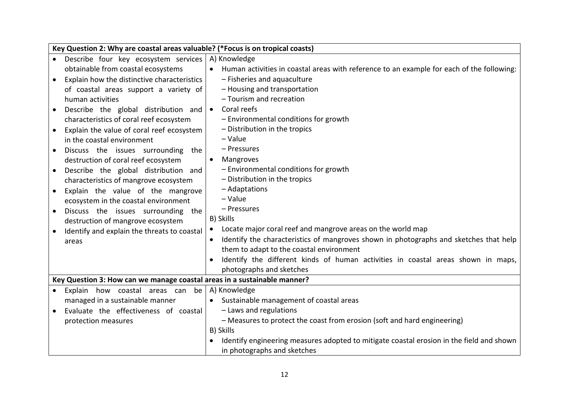|           | Key Question 2: Why are coastal areas valuable? (*Focus is on tropical coasts) |           |                                                                                           |
|-----------|--------------------------------------------------------------------------------|-----------|-------------------------------------------------------------------------------------------|
|           | Describe four key ecosystem services                                           |           | A) Knowledge                                                                              |
|           | obtainable from coastal ecosystems                                             |           | Human activities in coastal areas with reference to an example for each of the following: |
| $\bullet$ | Explain how the distinctive characteristics                                    |           | - Fisheries and aquaculture                                                               |
|           | of coastal areas support a variety of                                          |           | - Housing and transportation                                                              |
|           | human activities                                                               |           | - Tourism and recreation                                                                  |
| $\bullet$ | Describe the global distribution and                                           |           | • Coral reefs                                                                             |
|           | characteristics of coral reef ecosystem                                        |           | - Environmental conditions for growth                                                     |
| $\bullet$ | Explain the value of coral reef ecosystem                                      |           | - Distribution in the tropics                                                             |
|           | in the coastal environment                                                     |           | - Value                                                                                   |
| $\bullet$ | Discuss the issues surrounding the                                             |           | - Pressures                                                                               |
|           | destruction of coral reef ecosystem                                            |           | Mangroves                                                                                 |
| $\bullet$ | Describe the global distribution and                                           |           | - Environmental conditions for growth                                                     |
|           | characteristics of mangrove ecosystem                                          |           | - Distribution in the tropics                                                             |
| $\bullet$ | Explain the value of the mangrove                                              |           | - Adaptations                                                                             |
|           | ecosystem in the coastal environment                                           |           | - Value                                                                                   |
| $\bullet$ | Discuss the issues surrounding the                                             |           | - Pressures                                                                               |
|           | destruction of mangrove ecosystem                                              |           | B) Skills                                                                                 |
|           | Identify and explain the threats to coastal                                    |           | Locate major coral reef and mangrove areas on the world map                               |
|           | areas                                                                          |           | Identify the characteristics of mangroves shown in photographs and sketches that help     |
|           |                                                                                |           | them to adapt to the coastal environment                                                  |
|           |                                                                                | $\bullet$ | Identify the different kinds of human activities in coastal areas shown in maps,          |
|           |                                                                                |           | photographs and sketches                                                                  |
|           | Key Question 3: How can we manage coastal areas in a sustainable manner?       |           |                                                                                           |
|           | Explain how coastal areas can<br>be                                            |           | A) Knowledge                                                                              |
|           | managed in a sustainable manner                                                | $\bullet$ | Sustainable management of coastal areas                                                   |
|           | Evaluate the effectiveness of coastal                                          |           | - Laws and regulations                                                                    |
|           | protection measures                                                            |           | - Measures to protect the coast from erosion (soft and hard engineering)                  |
|           |                                                                                |           | B) Skills                                                                                 |
|           |                                                                                |           | Identify engineering measures adopted to mitigate coastal erosion in the field and shown  |
|           |                                                                                |           | in photographs and sketches                                                               |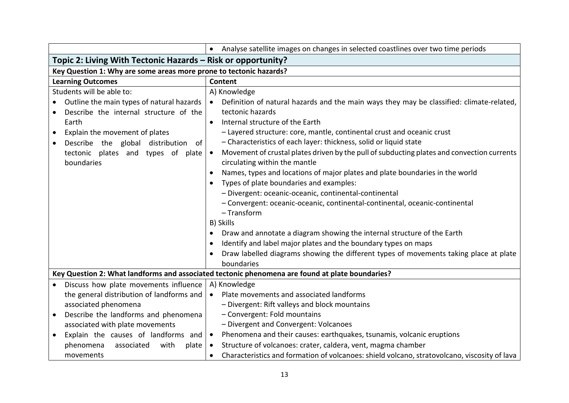|                                                                    | Analyse satellite images on changes in selected coastlines over two time periods<br>$\bullet$   |  |  |
|--------------------------------------------------------------------|-------------------------------------------------------------------------------------------------|--|--|
| Topic 2: Living With Tectonic Hazards – Risk or opportunity?       |                                                                                                 |  |  |
| Key Question 1: Why are some areas more prone to tectonic hazards? |                                                                                                 |  |  |
| <b>Learning Outcomes</b>                                           | Content                                                                                         |  |  |
| Students will be able to:                                          | A) Knowledge                                                                                    |  |  |
| Outline the main types of natural hazards                          | Definition of natural hazards and the main ways they may be classified: climate-related,        |  |  |
| Describe the internal structure of the                             | tectonic hazards                                                                                |  |  |
| Earth                                                              | Internal structure of the Earth<br>$\bullet$                                                    |  |  |
| Explain the movement of plates<br>$\bullet$                        | - Layered structure: core, mantle, continental crust and oceanic crust                          |  |  |
| Describe the global distribution of<br>$\bullet$                   | - Characteristics of each layer: thickness, solid or liquid state                               |  |  |
| tectonic plates and types of plate                                 | Movement of crustal plates driven by the pull of subducting plates and convection currents      |  |  |
| boundaries                                                         | circulating within the mantle                                                                   |  |  |
|                                                                    | Names, types and locations of major plates and plate boundaries in the world<br>$\bullet$       |  |  |
|                                                                    | Types of plate boundaries and examples:                                                         |  |  |
|                                                                    | - Divergent: oceanic-oceanic, continental-continental                                           |  |  |
|                                                                    | - Convergent: oceanic-oceanic, continental-continental, oceanic-continental                     |  |  |
|                                                                    | $-$ Transform                                                                                   |  |  |
|                                                                    | B) Skills                                                                                       |  |  |
|                                                                    | Draw and annotate a diagram showing the internal structure of the Earth                         |  |  |
|                                                                    | Identify and label major plates and the boundary types on maps                                  |  |  |
|                                                                    | Draw labelled diagrams showing the different types of movements taking place at plate           |  |  |
|                                                                    | boundaries                                                                                      |  |  |
|                                                                    | Key Question 2: What landforms and associated tectonic phenomena are found at plate boundaries? |  |  |
| • Discuss how plate movements influence                            | A) Knowledge                                                                                    |  |  |
| the general distribution of landforms and                          | Plate movements and associated landforms                                                        |  |  |
| associated phenomena                                               | - Divergent: Rift valleys and block mountains                                                   |  |  |
| Describe the landforms and phenomena                               | - Convergent: Fold mountains                                                                    |  |  |
| associated with plate movements                                    | - Divergent and Convergent: Volcanoes                                                           |  |  |
| Explain the causes of landforms and $\bullet$<br>$\bullet$         | Phenomena and their causes: earthquakes, tsunamis, volcanic eruptions                           |  |  |
| phenomena<br>associated<br>with<br>plate                           | Structure of volcanoes: crater, caldera, vent, magma chamber                                    |  |  |
| movements                                                          | Characteristics and formation of volcanoes: shield volcano, stratovolcano, viscosity of lava    |  |  |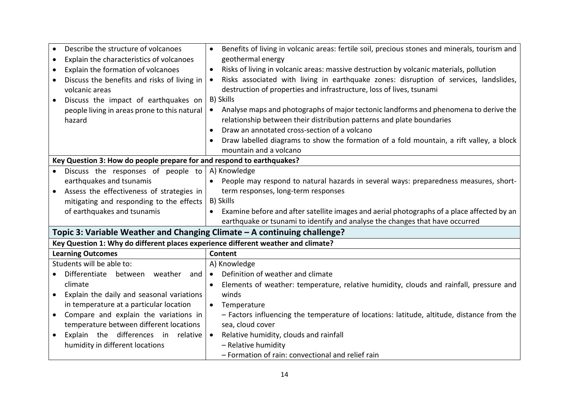| Describe the structure of volcanoes<br>Explain the characteristics of volcanoes<br>$\bullet$ | Benefits of living in volcanic areas: fertile soil, precious stones and minerals, tourism and<br>geothermal energy                                                         |
|----------------------------------------------------------------------------------------------|----------------------------------------------------------------------------------------------------------------------------------------------------------------------------|
| Explain the formation of volcanoes                                                           | Risks of living in volcanic areas: massive destruction by volcanic materials, pollution                                                                                    |
| $\bullet$<br>Discuss the benefits and risks of living in                                     | Risks associated with living in earthquake zones: disruption of services, landslides,<br>$\bullet$                                                                         |
| volcanic areas                                                                               | destruction of properties and infrastructure, loss of lives, tsunami                                                                                                       |
| Discuss the impact of earthquakes on<br>$\bullet$                                            | B) Skills                                                                                                                                                                  |
| people living in areas prone to this natural<br>hazard                                       | Analyse maps and photographs of major tectonic landforms and phenomena to derive the<br>$\bullet$<br>relationship between their distribution patterns and plate boundaries |
|                                                                                              | Draw an annotated cross-section of a volcano<br>$\bullet$                                                                                                                  |
|                                                                                              | Draw labelled diagrams to show the formation of a fold mountain, a rift valley, a block                                                                                    |
|                                                                                              | mountain and a volcano                                                                                                                                                     |
| Key Question 3: How do people prepare for and respond to earthquakes?                        |                                                                                                                                                                            |
| Discuss the responses of people to                                                           | A) Knowledge                                                                                                                                                               |
| earthquakes and tsunamis                                                                     | • People may respond to natural hazards in several ways: preparedness measures, short-                                                                                     |
| Assess the effectiveness of strategies in                                                    | term responses, long-term responses                                                                                                                                        |
| mitigating and responding to the effects                                                     | B) Skills                                                                                                                                                                  |
| of earthquakes and tsunamis                                                                  | Examine before and after satellite images and aerial photographs of a place affected by an<br>$\bullet$                                                                    |
|                                                                                              | earthquake or tsunami to identify and analyse the changes that have occurred                                                                                               |
| Topic 3: Variable Weather and Changing Climate - A continuing challenge?                     |                                                                                                                                                                            |
| Key Question 1: Why do different places experience different weather and climate?            |                                                                                                                                                                            |
| <b>Learning Outcomes</b>                                                                     | Content                                                                                                                                                                    |
| Students will be able to:                                                                    | A) Knowledge                                                                                                                                                               |
| Differentiate<br>between weather<br>and                                                      | Definition of weather and climate<br>$\bullet$                                                                                                                             |
| climate                                                                                      | Elements of weather: temperature, relative humidity, clouds and rainfall, pressure and                                                                                     |
| Explain the daily and seasonal variations<br>$\bullet$                                       | winds                                                                                                                                                                      |
| in temperature at a particular location                                                      | • Temperature                                                                                                                                                              |
| Compare and explain the variations in<br>$\bullet$                                           | - Factors influencing the temperature of locations: latitude, altitude, distance from the                                                                                  |
| temperature between different locations                                                      | sea, cloud cover                                                                                                                                                           |
| Explain the differences in relative<br>$\bullet$                                             | Relative humidity, clouds and rainfall<br>$\bullet$                                                                                                                        |
| humidity in different locations                                                              | - Relative humidity                                                                                                                                                        |
|                                                                                              | - Formation of rain: convectional and relief rain                                                                                                                          |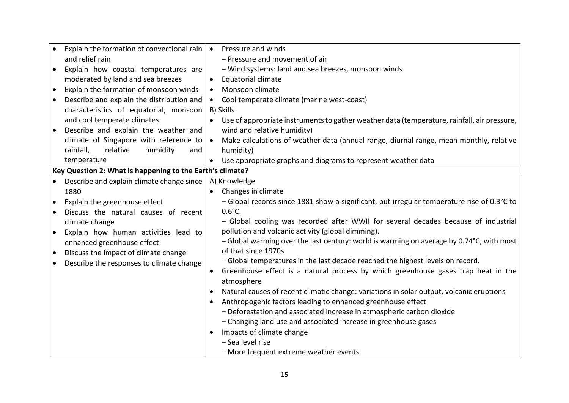|           | Explain the formation of convectional rain $\cdot$        | Pressure and winds                                                                          |
|-----------|-----------------------------------------------------------|---------------------------------------------------------------------------------------------|
|           | and relief rain                                           | - Pressure and movement of air                                                              |
| $\bullet$ | Explain how coastal temperatures are                      | - Wind systems: land and sea breezes, monsoon winds                                         |
|           | moderated by land and sea breezes                         | <b>Equatorial climate</b>                                                                   |
| $\bullet$ | Explain the formation of monsoon winds                    | Monsoon climate                                                                             |
| $\bullet$ | Describe and explain the distribution and                 | • Cool temperate climate (marine west-coast)                                                |
|           | characteristics of equatorial, monsoon                    | B) Skills                                                                                   |
|           | and cool temperate climates                               | Use of appropriate instruments to gather weather data (temperature, rainfall, air pressure, |
| $\bullet$ | Describe and explain the weather and                      | wind and relative humidity)                                                                 |
|           | climate of Singapore with reference to $\bullet$          | Make calculations of weather data (annual range, diurnal range, mean monthly, relative      |
|           | rainfall,<br>relative<br>humidity<br>and                  | humidity)                                                                                   |
|           | temperature                                               | Use appropriate graphs and diagrams to represent weather data                               |
|           | Key Question 2: What is happening to the Earth's climate? |                                                                                             |
|           | Describe and explain climate change since                 | A) Knowledge                                                                                |
|           | 1880                                                      | Changes in climate                                                                          |
| $\bullet$ | Explain the greenhouse effect                             | - Global records since 1881 show a significant, but irregular temperature rise of 0.3°C to  |
|           | Discuss the natural causes of recent                      | $0.6^{\circ}$ C.                                                                            |
|           | climate change                                            | - Global cooling was recorded after WWII for several decades because of industrial          |
| $\bullet$ | Explain how human activities lead to                      | pollution and volcanic activity (global dimming).                                           |
|           | enhanced greenhouse effect                                | - Global warming over the last century: world is warming on average by 0.74°C, with most    |
| $\bullet$ | Discuss the impact of climate change                      | of that since 1970s                                                                         |
| $\bullet$ | Describe the responses to climate change                  | - Global temperatures in the last decade reached the highest levels on record.              |
|           |                                                           | Greenhouse effect is a natural process by which greenhouse gases trap heat in the           |
|           |                                                           | atmosphere                                                                                  |
|           |                                                           | Natural causes of recent climatic change: variations in solar output, volcanic eruptions    |
|           |                                                           | Anthropogenic factors leading to enhanced greenhouse effect                                 |
|           |                                                           | - Deforestation and associated increase in atmospheric carbon dioxide                       |
|           |                                                           | - Changing land use and associated increase in greenhouse gases                             |
|           |                                                           | Impacts of climate change                                                                   |
|           |                                                           | - Sea level rise                                                                            |
|           |                                                           | - More frequent extreme weather events                                                      |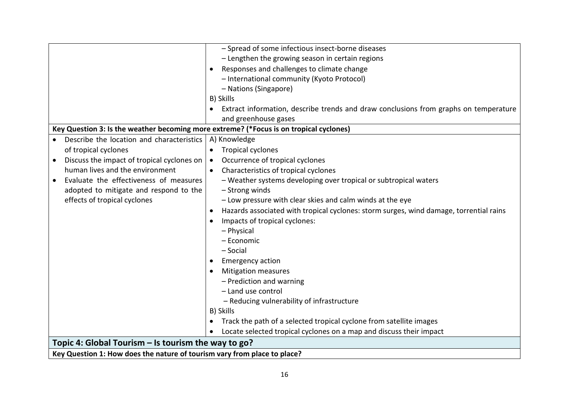|                                                                                        | - Spread of some infectious insect-borne diseases                                                 |  |
|----------------------------------------------------------------------------------------|---------------------------------------------------------------------------------------------------|--|
|                                                                                        | - Lengthen the growing season in certain regions                                                  |  |
|                                                                                        | Responses and challenges to climate change                                                        |  |
|                                                                                        | - International community (Kyoto Protocol)                                                        |  |
|                                                                                        | - Nations (Singapore)                                                                             |  |
|                                                                                        | B) Skills                                                                                         |  |
|                                                                                        | Extract information, describe trends and draw conclusions from graphs on temperature<br>$\bullet$ |  |
|                                                                                        | and greenhouse gases                                                                              |  |
| Key Question 3: Is the weather becoming more extreme? (*Focus is on tropical cyclones) |                                                                                                   |  |
| Describe the location and characteristics                                              | A) Knowledge                                                                                      |  |
| of tropical cyclones                                                                   | Tropical cyclones                                                                                 |  |
| Discuss the impact of tropical cyclones on<br>$\bullet$                                | Occurrence of tropical cyclones<br>$\bullet$                                                      |  |
| human lives and the environment                                                        | Characteristics of tropical cyclones                                                              |  |
| Evaluate the effectiveness of measures<br>$\bullet$                                    | - Weather systems developing over tropical or subtropical waters                                  |  |
| adopted to mitigate and respond to the                                                 | - Strong winds                                                                                    |  |
| effects of tropical cyclones                                                           | - Low pressure with clear skies and calm winds at the eye                                         |  |
|                                                                                        | Hazards associated with tropical cyclones: storm surges, wind damage, torrential rains            |  |
|                                                                                        | Impacts of tropical cyclones:                                                                     |  |
|                                                                                        | - Physical                                                                                        |  |
|                                                                                        | - Economic                                                                                        |  |
|                                                                                        | - Social                                                                                          |  |
|                                                                                        | <b>Emergency action</b>                                                                           |  |
|                                                                                        | <b>Mitigation measures</b>                                                                        |  |
|                                                                                        | - Prediction and warning                                                                          |  |
|                                                                                        | - Land use control                                                                                |  |
|                                                                                        | - Reducing vulnerability of infrastructure                                                        |  |
|                                                                                        | B) Skills                                                                                         |  |
|                                                                                        | Track the path of a selected tropical cyclone from satellite images                               |  |
|                                                                                        | Locate selected tropical cyclones on a map and discuss their impact                               |  |
| Topic 4: Global Tourism - Is tourism the way to go?                                    |                                                                                                   |  |
| Key Question 1: How does the nature of tourism vary from place to place?               |                                                                                                   |  |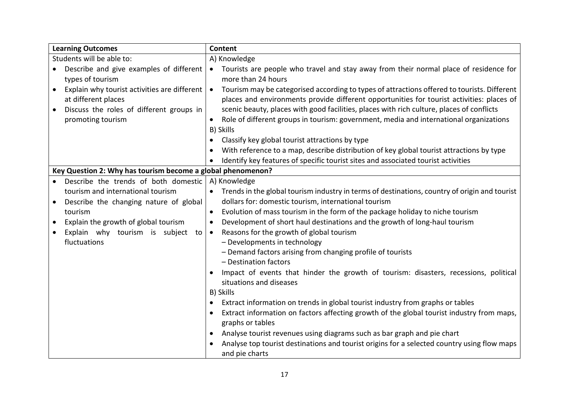| <b>Learning Outcomes</b>  |                                                                                                                 | Content                                                                                                                                                                                                                                                                                            |
|---------------------------|-----------------------------------------------------------------------------------------------------------------|----------------------------------------------------------------------------------------------------------------------------------------------------------------------------------------------------------------------------------------------------------------------------------------------------|
| Students will be able to: |                                                                                                                 | A) Knowledge                                                                                                                                                                                                                                                                                       |
|                           | Describe and give examples of different<br>types of tourism                                                     | Tourists are people who travel and stay away from their normal place of residence for<br>more than 24 hours                                                                                                                                                                                        |
| $\bullet$<br>$\bullet$    | Explain why tourist activities are different<br>at different places<br>Discuss the roles of different groups in | Tourism may be categorised according to types of attractions offered to tourists. Different<br>$\bullet$<br>places and environments provide different opportunities for tourist activities: places of<br>scenic beauty, places with good facilities, places with rich culture, places of conflicts |
|                           | promoting tourism                                                                                               | Role of different groups in tourism: government, media and international organizations                                                                                                                                                                                                             |
|                           |                                                                                                                 | B) Skills                                                                                                                                                                                                                                                                                          |
|                           |                                                                                                                 | Classify key global tourist attractions by type                                                                                                                                                                                                                                                    |
|                           |                                                                                                                 | With reference to a map, describe distribution of key global tourist attractions by type                                                                                                                                                                                                           |
|                           |                                                                                                                 | Identify key features of specific tourist sites and associated tourist activities                                                                                                                                                                                                                  |
|                           | Key Question 2: Why has tourism become a global phenomenon?                                                     |                                                                                                                                                                                                                                                                                                    |
|                           | Describe the trends of both domestic                                                                            | A) Knowledge                                                                                                                                                                                                                                                                                       |
|                           | tourism and international tourism                                                                               | Trends in the global tourism industry in terms of destinations, country of origin and tourist                                                                                                                                                                                                      |
| $\bullet$                 | Describe the changing nature of global                                                                          | dollars for: domestic tourism, international tourism                                                                                                                                                                                                                                               |
|                           | tourism                                                                                                         | Evolution of mass tourism in the form of the package holiday to niche tourism<br>$\bullet$                                                                                                                                                                                                         |
| $\bullet$                 | Explain the growth of global tourism                                                                            | Development of short haul destinations and the growth of long-haul tourism<br>$\bullet$                                                                                                                                                                                                            |
|                           | Explain why tourism is subject to                                                                               | Reasons for the growth of global tourism<br>$\bullet$                                                                                                                                                                                                                                              |
|                           | fluctuations                                                                                                    | - Developments in technology                                                                                                                                                                                                                                                                       |
|                           |                                                                                                                 | - Demand factors arising from changing profile of tourists                                                                                                                                                                                                                                         |
|                           |                                                                                                                 | - Destination factors                                                                                                                                                                                                                                                                              |
|                           |                                                                                                                 | Impact of events that hinder the growth of tourism: disasters, recessions, political<br>situations and diseases                                                                                                                                                                                    |
|                           |                                                                                                                 | B) Skills                                                                                                                                                                                                                                                                                          |
|                           |                                                                                                                 | Extract information on trends in global tourist industry from graphs or tables<br>$\bullet$                                                                                                                                                                                                        |
|                           |                                                                                                                 | Extract information on factors affecting growth of the global tourist industry from maps,<br>$\bullet$                                                                                                                                                                                             |
|                           |                                                                                                                 | graphs or tables                                                                                                                                                                                                                                                                                   |
|                           |                                                                                                                 | Analyse tourist revenues using diagrams such as bar graph and pie chart<br>$\bullet$                                                                                                                                                                                                               |
|                           |                                                                                                                 | Analyse top tourist destinations and tourist origins for a selected country using flow maps<br>and pie charts                                                                                                                                                                                      |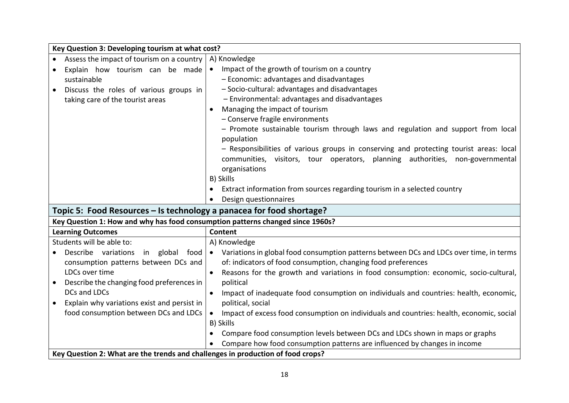| Key Question 3: Developing tourism at what cost?                                |                                                                                                   |  |  |
|---------------------------------------------------------------------------------|---------------------------------------------------------------------------------------------------|--|--|
| Assess the impact of tourism on a country                                       | A) Knowledge                                                                                      |  |  |
| Explain how tourism can be made                                                 | Impact of the growth of tourism on a country<br>$\bullet$                                         |  |  |
| sustainable                                                                     | - Economic: advantages and disadvantages                                                          |  |  |
| Discuss the roles of various groups in                                          | - Socio-cultural: advantages and disadvantages                                                    |  |  |
| taking care of the tourist areas                                                | - Environmental: advantages and disadvantages                                                     |  |  |
|                                                                                 | Managing the impact of tourism<br>$\bullet$                                                       |  |  |
|                                                                                 | - Conserve fragile environments                                                                   |  |  |
|                                                                                 | - Promote sustainable tourism through laws and regulation and support from local                  |  |  |
|                                                                                 | population                                                                                        |  |  |
|                                                                                 | - Responsibilities of various groups in conserving and protecting tourist areas: local            |  |  |
|                                                                                 | communities, visitors, tour operators, planning authorities, non-governmental                     |  |  |
|                                                                                 | organisations                                                                                     |  |  |
|                                                                                 | B) Skills                                                                                         |  |  |
|                                                                                 | Extract information from sources regarding tourism in a selected country                          |  |  |
|                                                                                 | Design questionnaires                                                                             |  |  |
| Topic 5: Food Resources - Is technology a panacea for food shortage?            |                                                                                                   |  |  |
| Key Question 1: How and why has food consumption patterns changed since 1960s?  |                                                                                                   |  |  |
| <b>Learning Outcomes</b>                                                        | Content                                                                                           |  |  |
| Students will be able to:                                                       | A) Knowledge                                                                                      |  |  |
| Describe variations<br>in global food<br>$\bullet$                              | • Variations in global food consumption patterns between DCs and LDCs over time, in terms         |  |  |
| consumption patterns between DCs and                                            | of: indicators of food consumption, changing food preferences                                     |  |  |
| LDCs over time                                                                  | Reasons for the growth and variations in food consumption: economic, socio-cultural,<br>$\bullet$ |  |  |
| Describe the changing food preferences in<br>$\bullet$                          | political                                                                                         |  |  |
| DCs and LDCs                                                                    | Impact of inadequate food consumption on individuals and countries: health, economic,             |  |  |
| Explain why variations exist and persist in<br>$\bullet$                        | political, social                                                                                 |  |  |
| food consumption between DCs and LDCs                                           | Impact of excess food consumption on individuals and countries: health, economic, social          |  |  |
|                                                                                 | B) Skills                                                                                         |  |  |
|                                                                                 | Compare food consumption levels between DCs and LDCs shown in maps or graphs                      |  |  |
|                                                                                 | Compare how food consumption patterns are influenced by changes in income                         |  |  |
| Key Question 2: What are the trends and challenges in production of food crops? |                                                                                                   |  |  |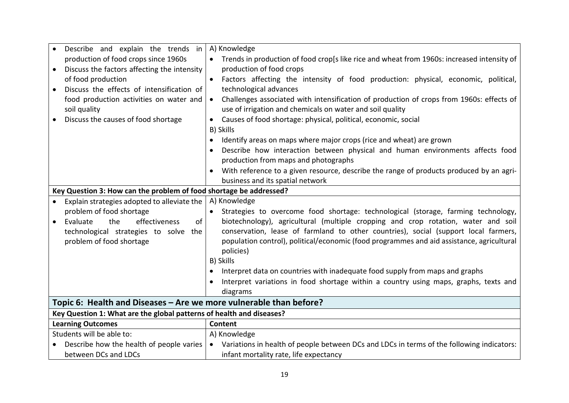| Describe and explain the trends in                                   | A) Knowledge                                                                                   |
|----------------------------------------------------------------------|------------------------------------------------------------------------------------------------|
| production of food crops since 1960s                                 | • Trends in production of food crop[s like rice and wheat from 1960s: increased intensity of   |
| Discuss the factors affecting the intensity<br>$\bullet$             | production of food crops                                                                       |
| of food production                                                   | • Factors affecting the intensity of food production: physical, economic, political,           |
| Discuss the effects of intensification of<br>$\bullet$               | technological advances                                                                         |
| food production activities on water and                              | Challenges associated with intensification of production of crops from 1960s: effects of       |
| soil quality                                                         | use of irrigation and chemicals on water and soil quality                                      |
| Discuss the causes of food shortage                                  | Causes of food shortage: physical, political, economic, social                                 |
|                                                                      | B) Skills                                                                                      |
|                                                                      | Identify areas on maps where major crops (rice and wheat) are grown<br>$\bullet$               |
|                                                                      | Describe how interaction between physical and human environments affects food                  |
|                                                                      | production from maps and photographs                                                           |
|                                                                      | With reference to a given resource, describe the range of products produced by an agri-        |
|                                                                      | business and its spatial network                                                               |
| Key Question 3: How can the problem of food shortage be addressed?   |                                                                                                |
| Explain strategies adopted to alleviate the<br>$\bullet$             | A) Knowledge                                                                                   |
| problem of food shortage                                             | Strategies to overcome food shortage: technological (storage, farming technology,<br>$\bullet$ |
| the<br>effectiveness<br>Evaluate<br>of<br>$\bullet$                  | biotechnology), agricultural (multiple cropping and crop rotation, water and soil              |
| technological strategies to solve the                                | conservation, lease of farmland to other countries), social (support local farmers,            |
| problem of food shortage                                             | population control), political/economic (food programmes and aid assistance, agricultural      |
|                                                                      | policies)                                                                                      |
|                                                                      | B) Skills                                                                                      |
|                                                                      | Interpret data on countries with inadequate food supply from maps and graphs<br>$\bullet$      |
|                                                                      | Interpret variations in food shortage within a country using maps, graphs, texts and           |
|                                                                      | diagrams                                                                                       |
| Topic 6: Health and Diseases – Are we more vulnerable than before?   |                                                                                                |
| Key Question 1: What are the global patterns of health and diseases? |                                                                                                |
| <b>Learning Outcomes</b>                                             | Content                                                                                        |
| Students will be able to:                                            | A) Knowledge                                                                                   |
| Describe how the health of people varies                             | • Variations in health of people between DCs and LDCs in terms of the following indicators:    |
| between DCs and LDCs                                                 | infant mortality rate, life expectancy                                                         |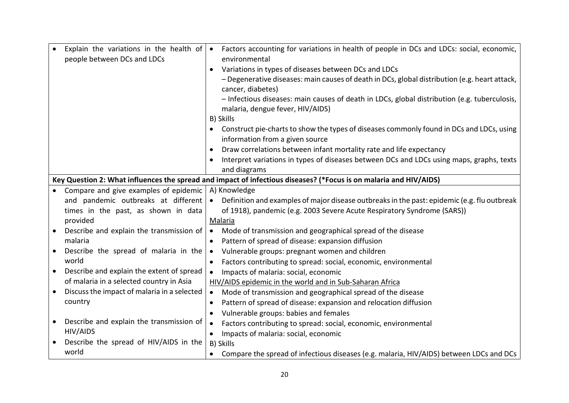|           | Explain the variations in the health of<br>people between DCs and LDCs |           | Factors accounting for variations in health of people in DCs and LDCs: social, economic,<br>environmental         |
|-----------|------------------------------------------------------------------------|-----------|-------------------------------------------------------------------------------------------------------------------|
|           |                                                                        | $\bullet$ | Variations in types of diseases between DCs and LDCs                                                              |
|           |                                                                        |           | - Degenerative diseases: main causes of death in DCs, global distribution (e.g. heart attack,                     |
|           |                                                                        |           | cancer, diabetes)                                                                                                 |
|           |                                                                        |           | - Infectious diseases: main causes of death in LDCs, global distribution (e.g. tuberculosis,                      |
|           |                                                                        |           | malaria, dengue fever, HIV/AIDS)                                                                                  |
|           |                                                                        |           | B) Skills                                                                                                         |
|           |                                                                        |           | Construct pie-charts to show the types of diseases commonly found in DCs and LDCs, using                          |
|           |                                                                        |           | information from a given source                                                                                   |
|           |                                                                        | $\bullet$ | Draw correlations between infant mortality rate and life expectancy                                               |
|           |                                                                        | $\bullet$ | Interpret variations in types of diseases between DCs and LDCs using maps, graphs, texts                          |
|           |                                                                        |           | and diagrams                                                                                                      |
|           |                                                                        |           | Key Question 2: What influences the spread and impact of infectious diseases? (*Focus is on malaria and HIV/AIDS) |
|           | Compare and give examples of epidemic                                  |           | A) Knowledge                                                                                                      |
|           | and pandemic outbreaks at different                                    | $\bullet$ | Definition and examples of major disease outbreaks in the past: epidemic (e.g. flu outbreak                       |
|           | times in the past, as shown in data                                    |           | of 1918), pandemic (e.g. 2003 Severe Acute Respiratory Syndrome (SARS))                                           |
|           | provided                                                               |           | Malaria                                                                                                           |
| $\bullet$ | Describe and explain the transmission of                               | $\bullet$ | Mode of transmission and geographical spread of the disease                                                       |
|           | malaria                                                                |           | Pattern of spread of disease: expansion diffusion                                                                 |
| $\bullet$ | Describe the spread of malaria in the                                  | $\bullet$ | Vulnerable groups: pregnant women and children                                                                    |
|           | world                                                                  | $\bullet$ | Factors contributing to spread: social, economic, environmental                                                   |
| $\bullet$ | Describe and explain the extent of spread                              | $\bullet$ | Impacts of malaria: social, economic                                                                              |
|           | of malaria in a selected country in Asia                               |           | HIV/AIDS epidemic in the world and in Sub-Saharan Africa                                                          |
|           | Discuss the impact of malaria in a selected                            | $\bullet$ | Mode of transmission and geographical spread of the disease                                                       |
|           | country                                                                | $\bullet$ | Pattern of spread of disease: expansion and relocation diffusion                                                  |
|           |                                                                        |           | Vulnerable groups: babies and females                                                                             |
|           | Describe and explain the transmission of                               | $\bullet$ | Factors contributing to spread: social, economic, environmental                                                   |
|           | <b>HIV/AIDS</b>                                                        |           | Impacts of malaria: social, economic                                                                              |
|           | Describe the spread of HIV/AIDS in the                                 |           | B) Skills                                                                                                         |
|           | world                                                                  | $\bullet$ | Compare the spread of infectious diseases (e.g. malaria, HIV/AIDS) between LDCs and DCs                           |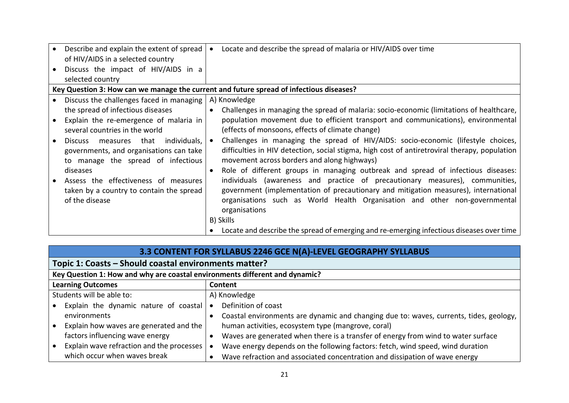| Describe and explain the extent of spread<br>of HIV/AIDS in a selected country<br>Discuss the impact of HIV/AIDS in a | Locate and describe the spread of malaria or HIV/AIDS over time                                                                                                                                                                   |
|-----------------------------------------------------------------------------------------------------------------------|-----------------------------------------------------------------------------------------------------------------------------------------------------------------------------------------------------------------------------------|
| selected country                                                                                                      |                                                                                                                                                                                                                                   |
| Key Question 3: How can we manage the current and future spread of infectious diseases?                               |                                                                                                                                                                                                                                   |
| Discuss the challenges faced in managing                                                                              | A) Knowledge                                                                                                                                                                                                                      |
| the spread of infectious diseases                                                                                     | Challenges in managing the spread of malaria: socio-economic (limitations of healthcare,                                                                                                                                          |
| Explain the re-emergence of malaria in<br>several countries in the world                                              | population movement due to efficient transport and communications), environmental<br>(effects of monsoons, effects of climate change)                                                                                             |
| Discuss measures that individuals,<br>governments, and organisations can take<br>to manage the spread of infectious   | Challenges in managing the spread of HIV/AIDS: socio-economic (lifestyle choices,<br>difficulties in HIV detection, social stigma, high cost of antiretroviral therapy, population<br>movement across borders and along highways) |
| diseases                                                                                                              | Role of different groups in managing outbreak and spread of infectious diseases:                                                                                                                                                  |
| Assess the effectiveness of measures                                                                                  | individuals (awareness and practice of precautionary measures), communities,                                                                                                                                                      |
| taken by a country to contain the spread                                                                              | government (implementation of precautionary and mitigation measures), international                                                                                                                                               |
| of the disease                                                                                                        | organisations such as World Health Organisation and other non-governmental                                                                                                                                                        |
|                                                                                                                       | organisations                                                                                                                                                                                                                     |
|                                                                                                                       | B) Skills                                                                                                                                                                                                                         |
|                                                                                                                       | Locate and describe the spread of emerging and re-emerging infectious diseases over time                                                                                                                                          |

| 3.3 CONTENT FOR SYLLABUS 2246 GCE N(A)-LEVEL GEOGRAPHY SYLLABUS             |                                                                                        |  |  |
|-----------------------------------------------------------------------------|----------------------------------------------------------------------------------------|--|--|
| Topic 1: Coasts - Should coastal environments matter?                       |                                                                                        |  |  |
| Key Question 1: How and why are coastal environments different and dynamic? |                                                                                        |  |  |
| <b>Learning Outcomes</b>                                                    | Content                                                                                |  |  |
| Students will be able to:                                                   | A) Knowledge                                                                           |  |  |
| Explain the dynamic nature of coastal $\bullet$                             | Definition of coast                                                                    |  |  |
| environments                                                                | Coastal environments are dynamic and changing due to: waves, currents, tides, geology, |  |  |
| Explain how waves are generated and the                                     | human activities, ecosystem type (mangrove, coral)                                     |  |  |
| factors influencing wave energy                                             | Waves are generated when there is a transfer of energy from wind to water surface      |  |  |
| Explain wave refraction and the processes                                   | Wave energy depends on the following factors: fetch, wind speed, wind duration         |  |  |
| which occur when waves break                                                | Wave refraction and associated concentration and dissipation of wave energy            |  |  |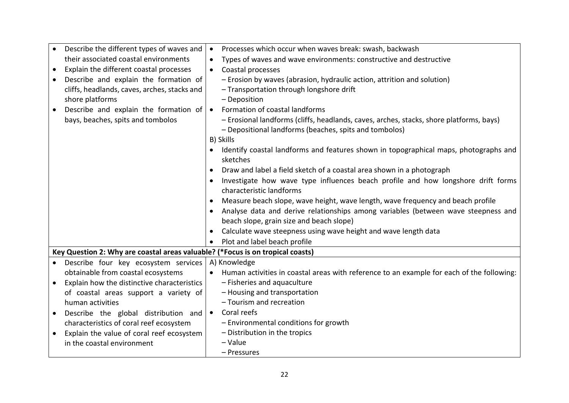| Describe the different types of waves and                                      | Processes which occur when waves break: swash, backwash                                          |
|--------------------------------------------------------------------------------|--------------------------------------------------------------------------------------------------|
| their associated coastal environments                                          | Types of waves and wave environments: constructive and destructive                               |
| Explain the different coastal processes<br>$\bullet$                           | Coastal processes                                                                                |
| Describe and explain the formation of                                          | - Erosion by waves (abrasion, hydraulic action, attrition and solution)                          |
| cliffs, headlands, caves, arches, stacks and                                   | - Transportation through longshore drift                                                         |
| shore platforms                                                                | - Deposition                                                                                     |
| Describe and explain the formation of $  \bullet  $<br>$\bullet$               | Formation of coastal landforms                                                                   |
| bays, beaches, spits and tombolos                                              | - Erosional landforms (cliffs, headlands, caves, arches, stacks, shore platforms, bays)          |
|                                                                                | - Depositional landforms (beaches, spits and tombolos)                                           |
|                                                                                | B) Skills                                                                                        |
|                                                                                | Identify coastal landforms and features shown in topographical maps, photographs and<br>sketches |
|                                                                                | Draw and label a field sketch of a coastal area shown in a photograph<br>$\bullet$               |
|                                                                                | Investigate how wave type influences beach profile and how longshore drift forms                 |
|                                                                                | characteristic landforms                                                                         |
|                                                                                | Measure beach slope, wave height, wave length, wave frequency and beach profile<br>$\bullet$     |
|                                                                                | Analyse data and derive relationships among variables (between wave steepness and                |
|                                                                                | beach slope, grain size and beach slope)                                                         |
|                                                                                | Calculate wave steepness using wave height and wave length data                                  |
|                                                                                | Plot and label beach profile                                                                     |
| Key Question 2: Why are coastal areas valuable? (*Focus is on tropical coasts) |                                                                                                  |
| Describe four key ecosystem services                                           | A) Knowledge                                                                                     |
| obtainable from coastal ecosystems                                             | Human activities in coastal areas with reference to an example for each of the following:        |
| Explain how the distinctive characteristics<br>$\bullet$                       | - Fisheries and aquaculture                                                                      |
| of coastal areas support a variety of                                          | - Housing and transportation                                                                     |
| human activities                                                               | - Tourism and recreation                                                                         |
| Describe the global distribution and $\bullet$<br>$\bullet$                    | Coral reefs                                                                                      |
| characteristics of coral reef ecosystem                                        | - Environmental conditions for growth                                                            |
| Explain the value of coral reef ecosystem<br>$\bullet$                         | - Distribution in the tropics                                                                    |
| in the coastal environment                                                     | - Value                                                                                          |
|                                                                                | - Pressures                                                                                      |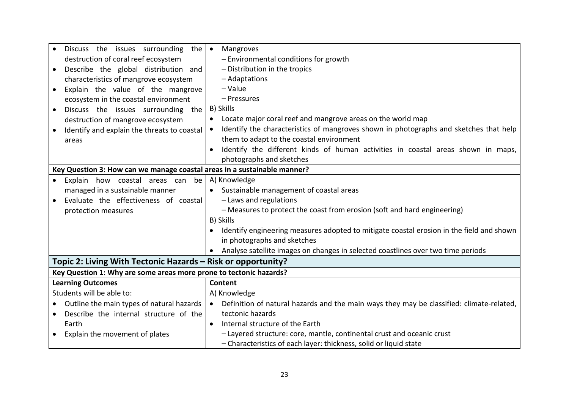| Discuss the issues surrounding<br>the   •                                | Mangroves                                                                                             |
|--------------------------------------------------------------------------|-------------------------------------------------------------------------------------------------------|
| destruction of coral reef ecosystem                                      | - Environmental conditions for growth                                                                 |
| Describe the global distribution and<br>$\bullet$                        | - Distribution in the tropics                                                                         |
| characteristics of mangrove ecosystem                                    | - Adaptations                                                                                         |
| Explain the value of the mangrove<br>$\bullet$                           | - Value                                                                                               |
| ecosystem in the coastal environment                                     | - Pressures                                                                                           |
| Discuss the issues surrounding the<br>$\bullet$                          | B) Skills                                                                                             |
| destruction of mangrove ecosystem                                        | Locate major coral reef and mangrove areas on the world map<br>$\bullet$                              |
| Identify and explain the threats to coastal<br>$\bullet$                 | Identify the characteristics of mangroves shown in photographs and sketches that help                 |
| areas                                                                    | them to adapt to the coastal environment                                                              |
|                                                                          | Identify the different kinds of human activities in coastal areas shown in maps,                      |
|                                                                          | photographs and sketches                                                                              |
| Key Question 3: How can we manage coastal areas in a sustainable manner? |                                                                                                       |
| Explain how coastal areas can<br>be<br>$\bullet$                         | A) Knowledge                                                                                          |
| managed in a sustainable manner                                          | Sustainable management of coastal areas                                                               |
| Evaluate the effectiveness of coastal<br>$\bullet$                       | - Laws and regulations                                                                                |
| protection measures                                                      | - Measures to protect the coast from erosion (soft and hard engineering)                              |
|                                                                          | B) Skills                                                                                             |
|                                                                          | Identify engineering measures adopted to mitigate coastal erosion in the field and shown<br>$\bullet$ |
|                                                                          | in photographs and sketches                                                                           |
|                                                                          | Analyse satellite images on changes in selected coastlines over two time periods<br>$\bullet$         |
| Topic 2: Living With Tectonic Hazards - Risk or opportunity?             |                                                                                                       |
| Key Question 1: Why are some areas more prone to tectonic hazards?       |                                                                                                       |
| <b>Learning Outcomes</b>                                                 | Content                                                                                               |
| Students will be able to:                                                | A) Knowledge                                                                                          |
| Outline the main types of natural hazards<br>$\bullet$                   | Definition of natural hazards and the main ways they may be classified: climate-related,<br>$\bullet$ |
| Describe the internal structure of the                                   | tectonic hazards                                                                                      |
| Earth                                                                    | Internal structure of the Earth<br>$\bullet$                                                          |
| Explain the movement of plates<br>$\bullet$                              | - Layered structure: core, mantle, continental crust and oceanic crust                                |
|                                                                          | - Characteristics of each layer: thickness, solid or liquid state                                     |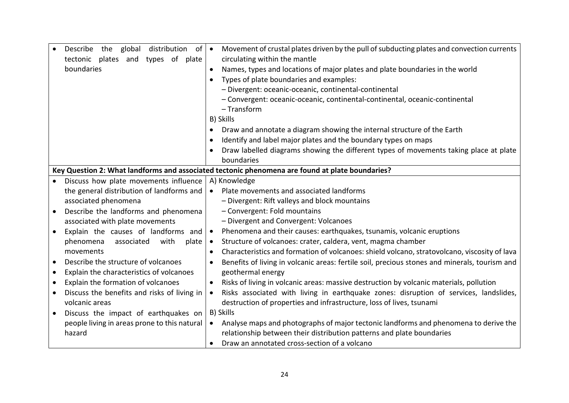| Describe<br>the global<br>distribution<br>of             | Movement of crustal plates driven by the pull of subducting plates and convection currents        |
|----------------------------------------------------------|---------------------------------------------------------------------------------------------------|
| tectonic plates and types of plate                       | circulating within the mantle                                                                     |
| boundaries                                               | Names, types and locations of major plates and plate boundaries in the world<br>$\bullet$         |
|                                                          | Types of plate boundaries and examples:                                                           |
|                                                          | - Divergent: oceanic-oceanic, continental-continental                                             |
|                                                          | - Convergent: oceanic-oceanic, continental-continental, oceanic-continental                       |
|                                                          | - Transform                                                                                       |
|                                                          | B) Skills                                                                                         |
|                                                          | Draw and annotate a diagram showing the internal structure of the Earth<br>$\bullet$              |
|                                                          | Identify and label major plates and the boundary types on maps<br>$\bullet$                       |
|                                                          | Draw labelled diagrams showing the different types of movements taking place at plate             |
|                                                          | boundaries                                                                                        |
|                                                          | Key Question 2: What landforms and associated tectonic phenomena are found at plate boundaries?   |
| Discuss how plate movements influence<br>$\bullet$       | A) Knowledge                                                                                      |
| the general distribution of landforms and                | Plate movements and associated landforms                                                          |
| associated phenomena                                     | - Divergent: Rift valleys and block mountains                                                     |
| Describe the landforms and phenomena<br>$\bullet$        | - Convergent: Fold mountains                                                                      |
| associated with plate movements                          | - Divergent and Convergent: Volcanoes                                                             |
| Explain the causes of landforms and<br>$\bullet$         | Phenomena and their causes: earthquakes, tsunamis, volcanic eruptions<br>$\bullet$                |
| phenomena<br>plate<br>associated<br>with                 | Structure of volcanoes: crater, caldera, vent, magma chamber<br>$\bullet$                         |
| movements                                                | Characteristics and formation of volcanoes: shield volcano, stratovolcano, viscosity of lava      |
| Describe the structure of volcanoes<br>$\bullet$         | Benefits of living in volcanic areas: fertile soil, precious stones and minerals, tourism and     |
| Explain the characteristics of volcanoes<br>$\bullet$    | geothermal energy                                                                                 |
| Explain the formation of volcanoes<br>$\bullet$          | Risks of living in volcanic areas: massive destruction by volcanic materials, pollution           |
| Discuss the benefits and risks of living in<br>$\bullet$ | Risks associated with living in earthquake zones: disruption of services, landslides,             |
| volcanic areas                                           | destruction of properties and infrastructure, loss of lives, tsunami                              |
| Discuss the impact of earthquakes on                     | B) Skills                                                                                         |
| people living in areas prone to this natural             | Analyse maps and photographs of major tectonic landforms and phenomena to derive the<br>$\bullet$ |
| hazard                                                   | relationship between their distribution patterns and plate boundaries                             |
|                                                          | Draw an annotated cross-section of a volcano                                                      |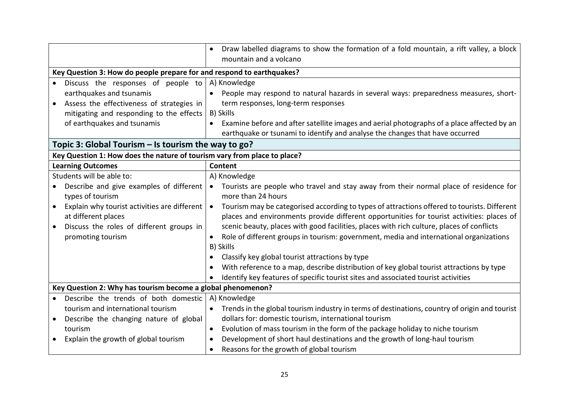|                                                                          | Draw labelled diagrams to show the formation of a fold mountain, a rift valley, a block<br>$\bullet$<br>mountain and a volcano |  |  |
|--------------------------------------------------------------------------|--------------------------------------------------------------------------------------------------------------------------------|--|--|
| Key Question 3: How do people prepare for and respond to earthquakes?    |                                                                                                                                |  |  |
| Discuss the responses of people to $ A $ Knowledge<br>$\bullet$          |                                                                                                                                |  |  |
| earthquakes and tsunamis                                                 | People may respond to natural hazards in several ways: preparedness measures, short-<br>$\bullet$                              |  |  |
| Assess the effectiveness of strategies in                                | term responses, long-term responses                                                                                            |  |  |
| mitigating and responding to the effects                                 | B) Skills                                                                                                                      |  |  |
| of earthquakes and tsunamis                                              | Examine before and after satellite images and aerial photographs of a place affected by an<br>$\bullet$                        |  |  |
|                                                                          | earthquake or tsunami to identify and analyse the changes that have occurred                                                   |  |  |
| Topic 3: Global Tourism - Is tourism the way to go?                      |                                                                                                                                |  |  |
| Key Question 1: How does the nature of tourism vary from place to place? |                                                                                                                                |  |  |
| <b>Learning Outcomes</b>                                                 | Content                                                                                                                        |  |  |
| Students will be able to:                                                | A) Knowledge                                                                                                                   |  |  |
| Describe and give examples of different                                  | • Tourists are people who travel and stay away from their normal place of residence for                                        |  |  |
| types of tourism                                                         | more than 24 hours                                                                                                             |  |  |
| Explain why tourist activities are different  <br>$\bullet$              | Tourism may be categorised according to types of attractions offered to tourists. Different<br>$\bullet$                       |  |  |
| at different places                                                      | places and environments provide different opportunities for tourist activities: places of                                      |  |  |
| Discuss the roles of different groups in<br>$\bullet$                    | scenic beauty, places with good facilities, places with rich culture, places of conflicts                                      |  |  |
| promoting tourism                                                        | Role of different groups in tourism: government, media and international organizations<br>$\bullet$                            |  |  |
|                                                                          | B) Skills                                                                                                                      |  |  |
|                                                                          | Classify key global tourist attractions by type<br>$\bullet$                                                                   |  |  |
|                                                                          | With reference to a map, describe distribution of key global tourist attractions by type                                       |  |  |
|                                                                          | Identify key features of specific tourist sites and associated tourist activities<br>$\bullet$                                 |  |  |
| Key Question 2: Why has tourism become a global phenomenon?              |                                                                                                                                |  |  |
| Describe the trends of both domestic<br>$\bullet$                        | A) Knowledge                                                                                                                   |  |  |
| tourism and international tourism                                        | Trends in the global tourism industry in terms of destinations, country of origin and tourist                                  |  |  |
| Describe the changing nature of global<br>$\bullet$                      | dollars for: domestic tourism, international tourism                                                                           |  |  |
| tourism                                                                  | Evolution of mass tourism in the form of the package holiday to niche tourism<br>$\bullet$                                     |  |  |
| Explain the growth of global tourism<br>$\bullet$                        | Development of short haul destinations and the growth of long-haul tourism<br>$\bullet$                                        |  |  |
|                                                                          | Reasons for the growth of global tourism<br>$\bullet$                                                                          |  |  |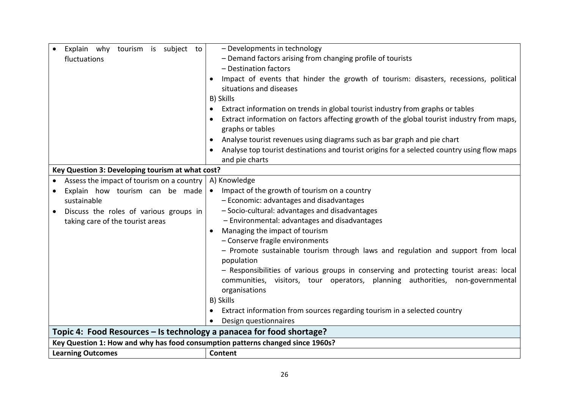| Explain why tourism is subject to                                              | - Developments in technology                                                                |
|--------------------------------------------------------------------------------|---------------------------------------------------------------------------------------------|
| fluctuations                                                                   | - Demand factors arising from changing profile of tourists                                  |
|                                                                                | - Destination factors                                                                       |
|                                                                                | Impact of events that hinder the growth of tourism: disasters, recessions, political        |
|                                                                                | situations and diseases                                                                     |
|                                                                                | B) Skills                                                                                   |
|                                                                                | Extract information on trends in global tourist industry from graphs or tables<br>$\bullet$ |
|                                                                                | Extract information on factors affecting growth of the global tourist industry from maps,   |
|                                                                                | graphs or tables                                                                            |
|                                                                                | Analyse tourist revenues using diagrams such as bar graph and pie chart                     |
|                                                                                | Analyse top tourist destinations and tourist origins for a selected country using flow maps |
|                                                                                | and pie charts                                                                              |
| Key Question 3: Developing tourism at what cost?                               |                                                                                             |
| Assess the impact of tourism on a country                                      | A) Knowledge                                                                                |
| Explain how tourism can be made                                                | Impact of the growth of tourism on a country                                                |
| sustainable                                                                    | - Economic: advantages and disadvantages                                                    |
| Discuss the roles of various groups in                                         | - Socio-cultural: advantages and disadvantages                                              |
| taking care of the tourist areas                                               | - Environmental: advantages and disadvantages                                               |
|                                                                                | Managing the impact of tourism                                                              |
|                                                                                | - Conserve fragile environments                                                             |
|                                                                                | - Promote sustainable tourism through laws and regulation and support from local            |
|                                                                                | population                                                                                  |
|                                                                                | - Responsibilities of various groups in conserving and protecting tourist areas: local      |
|                                                                                | communities, visitors, tour operators, planning authorities, non-governmental               |
|                                                                                | organisations                                                                               |
|                                                                                | B) Skills                                                                                   |
|                                                                                | Extract information from sources regarding tourism in a selected country                    |
|                                                                                | Design questionnaires                                                                       |
| Topic 4: Food Resources - Is technology a panacea for food shortage?           |                                                                                             |
| Key Question 1: How and why has food consumption patterns changed since 1960s? |                                                                                             |
| <b>Learning Outcomes</b>                                                       | Content                                                                                     |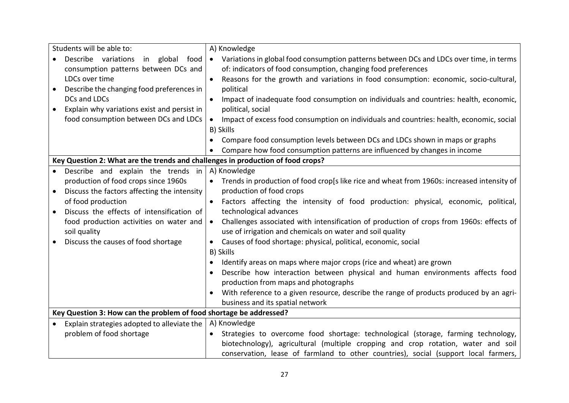| Students will be able to:                                                       | A) Knowledge                                                                                                                                                       |
|---------------------------------------------------------------------------------|--------------------------------------------------------------------------------------------------------------------------------------------------------------------|
| Describe variations<br>in global food                                           | • Variations in global food consumption patterns between DCs and LDCs over time, in terms                                                                          |
| consumption patterns between DCs and                                            | of: indicators of food consumption, changing food preferences                                                                                                      |
| LDCs over time                                                                  | Reasons for the growth and variations in food consumption: economic, socio-cultural,                                                                               |
| Describe the changing food preferences in                                       | political                                                                                                                                                          |
| DCs and LDCs                                                                    | Impact of inadequate food consumption on individuals and countries: health, economic,<br>$\bullet$                                                                 |
| Explain why variations exist and persist in<br>$\bullet$                        | political, social                                                                                                                                                  |
| food consumption between DCs and LDCs                                           | Impact of excess food consumption on individuals and countries: health, economic, social                                                                           |
|                                                                                 | B) Skills                                                                                                                                                          |
|                                                                                 | Compare food consumption levels between DCs and LDCs shown in maps or graphs                                                                                       |
|                                                                                 | Compare how food consumption patterns are influenced by changes in income                                                                                          |
| Key Question 2: What are the trends and challenges in production of food crops? |                                                                                                                                                                    |
| Describe and explain the trends in                                              | A) Knowledge                                                                                                                                                       |
| production of food crops since 1960s                                            | Trends in production of food crop[s like rice and wheat from 1960s: increased intensity of                                                                         |
| Discuss the factors affecting the intensity<br>$\bullet$                        | production of food crops                                                                                                                                           |
| of food production                                                              | Factors affecting the intensity of food production: physical, economic, political,<br>$\bullet$                                                                    |
| Discuss the effects of intensification of                                       | technological advances                                                                                                                                             |
| food production activities on water and<br>soil quality                         | Challenges associated with intensification of production of crops from 1960s: effects of<br>$\bullet$<br>use of irrigation and chemicals on water and soil quality |
| Discuss the causes of food shortage                                             | Causes of food shortage: physical, political, economic, social                                                                                                     |
|                                                                                 | B) Skills                                                                                                                                                          |
|                                                                                 | Identify areas on maps where major crops (rice and wheat) are grown                                                                                                |
|                                                                                 | Describe how interaction between physical and human environments affects food                                                                                      |
|                                                                                 | production from maps and photographs                                                                                                                               |
|                                                                                 | With reference to a given resource, describe the range of products produced by an agri-                                                                            |
|                                                                                 | business and its spatial network                                                                                                                                   |
| Key Question 3: How can the problem of food shortage be addressed?              |                                                                                                                                                                    |
| Explain strategies adopted to alleviate the<br>$\bullet$                        | A) Knowledge                                                                                                                                                       |
| problem of food shortage                                                        | Strategies to overcome food shortage: technological (storage, farming technology,                                                                                  |
|                                                                                 | biotechnology), agricultural (multiple cropping and crop rotation, water and soil                                                                                  |
|                                                                                 | conservation, lease of farmland to other countries), social (support local farmers,                                                                                |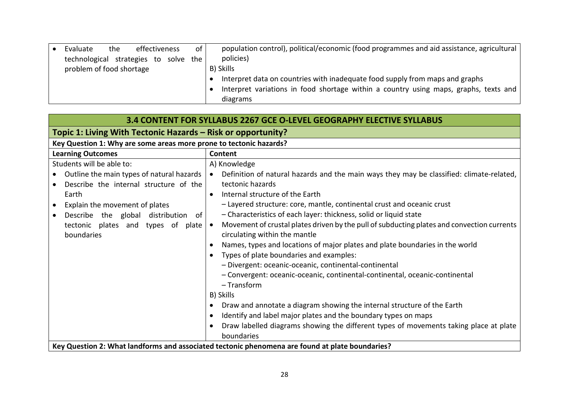| effectiveness<br>Evaluate<br>the           | ot l | population control), political/economic (food programmes and aid assistance, agricultural |
|--------------------------------------------|------|-------------------------------------------------------------------------------------------|
| technological strategies to solve<br>the I |      | policies)                                                                                 |
| problem of food shortage                   |      | B) Skills                                                                                 |
|                                            |      | Interpret data on countries with inadequate food supply from maps and graphs              |
|                                            |      | Interpret variations in food shortage within a country using maps, graphs, texts and      |
|                                            |      | diagrams                                                                                  |

| 3.4 CONTENT FOR SYLLABUS 2267 GCE O-LEVEL GEOGRAPHY ELECTIVE SYLLABUS                           |                                                                                                         |  |  |
|-------------------------------------------------------------------------------------------------|---------------------------------------------------------------------------------------------------------|--|--|
| Topic 1: Living With Tectonic Hazards – Risk or opportunity?                                    |                                                                                                         |  |  |
| Key Question 1: Why are some areas more prone to tectonic hazards?                              |                                                                                                         |  |  |
| <b>Learning Outcomes</b>                                                                        | Content                                                                                                 |  |  |
| Students will be able to:                                                                       | A) Knowledge                                                                                            |  |  |
| Outline the main types of natural hazards $  \bullet  $                                         | Definition of natural hazards and the main ways they may be classified: climate-related,                |  |  |
| Describe the internal structure of the                                                          | tectonic hazards                                                                                        |  |  |
| Earth                                                                                           | Internal structure of the Earth<br>$\bullet$                                                            |  |  |
| Explain the movement of plates<br>$\bullet$                                                     | - Layered structure: core, mantle, continental crust and oceanic crust                                  |  |  |
| Describe the global distribution of<br>$\bullet$                                                | - Characteristics of each layer: thickness, solid or liquid state                                       |  |  |
| tectonic plates and types of plate                                                              | Movement of crustal plates driven by the pull of subducting plates and convection currents<br>$\bullet$ |  |  |
| boundaries                                                                                      | circulating within the mantle                                                                           |  |  |
|                                                                                                 | Names, types and locations of major plates and plate boundaries in the world                            |  |  |
|                                                                                                 | Types of plate boundaries and examples:<br>$\bullet$                                                    |  |  |
|                                                                                                 | - Divergent: oceanic-oceanic, continental-continental                                                   |  |  |
|                                                                                                 | - Convergent: oceanic-oceanic, continental-continental, oceanic-continental                             |  |  |
|                                                                                                 | $-$ Transform                                                                                           |  |  |
|                                                                                                 | B) Skills                                                                                               |  |  |
|                                                                                                 | Draw and annotate a diagram showing the internal structure of the Earth<br>$\bullet$                    |  |  |
|                                                                                                 | Identify and label major plates and the boundary types on maps<br>$\bullet$                             |  |  |
|                                                                                                 | Draw labelled diagrams showing the different types of movements taking place at plate<br>$\bullet$      |  |  |
|                                                                                                 | boundaries                                                                                              |  |  |
| Key Question 2: What landforms and associated tectonic phenomena are found at plate boundaries? |                                                                                                         |  |  |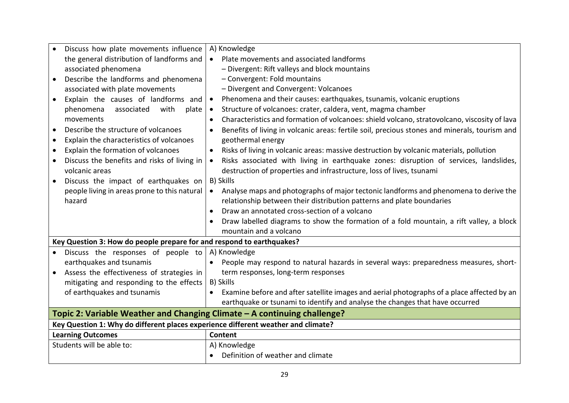| Discuss how plate movements influence                                             | A) Knowledge                                                                                              |  |  |
|-----------------------------------------------------------------------------------|-----------------------------------------------------------------------------------------------------------|--|--|
| the general distribution of landforms and                                         | Plate movements and associated landforms<br>$\bullet$                                                     |  |  |
| associated phenomena                                                              | - Divergent: Rift valleys and block mountains                                                             |  |  |
| Describe the landforms and phenomena<br>$\bullet$                                 | - Convergent: Fold mountains                                                                              |  |  |
| associated with plate movements                                                   | - Divergent and Convergent: Volcanoes                                                                     |  |  |
| Explain the causes of landforms and<br>$\bullet$                                  | Phenomena and their causes: earthquakes, tsunamis, volcanic eruptions                                     |  |  |
| associated<br>with<br>phenomena<br>plate                                          | Structure of volcanoes: crater, caldera, vent, magma chamber<br>$\bullet$                                 |  |  |
| movements                                                                         | Characteristics and formation of volcanoes: shield volcano, stratovolcano, viscosity of lava<br>$\bullet$ |  |  |
| Describe the structure of volcanoes<br>$\bullet$                                  | Benefits of living in volcanic areas: fertile soil, precious stones and minerals, tourism and             |  |  |
| Explain the characteristics of volcanoes<br>$\bullet$                             | geothermal energy                                                                                         |  |  |
| Explain the formation of volcanoes<br>$\bullet$                                   | Risks of living in volcanic areas: massive destruction by volcanic materials, pollution                   |  |  |
| Discuss the benefits and risks of living in<br>$\bullet$                          | Risks associated with living in earthquake zones: disruption of services, landslides,<br>$\bullet$        |  |  |
| volcanic areas                                                                    | destruction of properties and infrastructure, loss of lives, tsunami                                      |  |  |
| Discuss the impact of earthquakes on<br>$\bullet$                                 | B) Skills                                                                                                 |  |  |
| people living in areas prone to this natural                                      | Analyse maps and photographs of major tectonic landforms and phenomena to derive the<br>$\bullet$         |  |  |
| hazard                                                                            | relationship between their distribution patterns and plate boundaries                                     |  |  |
|                                                                                   | Draw an annotated cross-section of a volcano<br>$\bullet$                                                 |  |  |
|                                                                                   | Draw labelled diagrams to show the formation of a fold mountain, a rift valley, a block<br>$\bullet$      |  |  |
|                                                                                   | mountain and a volcano                                                                                    |  |  |
| Key Question 3: How do people prepare for and respond to earthquakes?             |                                                                                                           |  |  |
| Discuss the responses of people to                                                | A) Knowledge                                                                                              |  |  |
| earthquakes and tsunamis                                                          | People may respond to natural hazards in several ways: preparedness measures, short-                      |  |  |
| Assess the effectiveness of strategies in<br>$\bullet$                            | term responses, long-term responses                                                                       |  |  |
| mitigating and responding to the effects                                          | B) Skills                                                                                                 |  |  |
| of earthquakes and tsunamis                                                       | Examine before and after satellite images and aerial photographs of a place affected by an                |  |  |
|                                                                                   | earthquake or tsunami to identify and analyse the changes that have occurred                              |  |  |
| Topic 2: Variable Weather and Changing Climate - A continuing challenge?          |                                                                                                           |  |  |
| Key Question 1: Why do different places experience different weather and climate? |                                                                                                           |  |  |
| <b>Learning Outcomes</b>                                                          | Content                                                                                                   |  |  |
| Students will be able to:                                                         | A) Knowledge                                                                                              |  |  |
|                                                                                   | Definition of weather and climate                                                                         |  |  |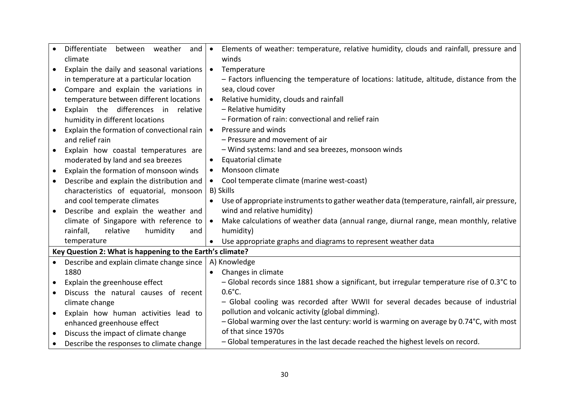|             | Differentiate<br>between weather<br>and<br>climate        | Elements of weather: temperature, relative humidity, clouds and rainfall, pressure and<br>winds |                                                                                                       |  |  |  |
|-------------|-----------------------------------------------------------|-------------------------------------------------------------------------------------------------|-------------------------------------------------------------------------------------------------------|--|--|--|
| $\bullet$   | Explain the daily and seasonal variations                 | Temperature<br>$\bullet$                                                                        |                                                                                                       |  |  |  |
|             | in temperature at a particular location                   |                                                                                                 | - Factors influencing the temperature of locations: latitude, altitude, distance from the             |  |  |  |
| $\bullet$   | Compare and explain the variations in                     |                                                                                                 | sea, cloud cover                                                                                      |  |  |  |
|             | temperature between different locations                   |                                                                                                 | Relative humidity, clouds and rainfall                                                                |  |  |  |
| $\bullet$   | Explain the differences in<br>relative                    |                                                                                                 | - Relative humidity                                                                                   |  |  |  |
|             | humidity in different locations                           |                                                                                                 | - Formation of rain: convectional and relief rain                                                     |  |  |  |
| $\bullet$   | Explain the formation of convectional rain                | $\bullet$                                                                                       | Pressure and winds                                                                                    |  |  |  |
|             | and relief rain                                           |                                                                                                 | - Pressure and movement of air                                                                        |  |  |  |
| $\bullet$   | Explain how coastal temperatures are                      |                                                                                                 | - Wind systems: land and sea breezes, monsoon winds                                                   |  |  |  |
|             | moderated by land and sea breezes                         | $\bullet$                                                                                       | Equatorial climate                                                                                    |  |  |  |
| $\bullet$   | Explain the formation of monsoon winds                    |                                                                                                 | Monsoon climate                                                                                       |  |  |  |
| $\bullet$   | Describe and explain the distribution and                 | $\bullet$                                                                                       | Cool temperate climate (marine west-coast)                                                            |  |  |  |
|             | characteristics of equatorial, monsoon                    |                                                                                                 | B) Skills                                                                                             |  |  |  |
|             | and cool temperate climates                               |                                                                                                 | Use of appropriate instruments to gather weather data (temperature, rainfall, air pressure,           |  |  |  |
| $\bullet$   | Describe and explain the weather and                      |                                                                                                 | wind and relative humidity)                                                                           |  |  |  |
|             | climate of Singapore with reference to                    | $\bullet$                                                                                       | Make calculations of weather data (annual range, diurnal range, mean monthly, relative                |  |  |  |
|             | relative<br>rainfall,<br>humidity<br>and                  | humidity)                                                                                       |                                                                                                       |  |  |  |
| temperature |                                                           |                                                                                                 | Use appropriate graphs and diagrams to represent weather data<br>$\bullet$                            |  |  |  |
|             | Key Question 2: What is happening to the Earth's climate? |                                                                                                 |                                                                                                       |  |  |  |
| $\bullet$   | Describe and explain climate change since                 |                                                                                                 | A) Knowledge                                                                                          |  |  |  |
|             | 1880                                                      |                                                                                                 | Changes in climate                                                                                    |  |  |  |
| $\bullet$   | Explain the greenhouse effect                             |                                                                                                 | - Global records since 1881 show a significant, but irregular temperature rise of 0.3 $^{\circ}$ C to |  |  |  |
|             | Discuss the natural causes of recent                      |                                                                                                 | $0.6^{\circ}$ C.                                                                                      |  |  |  |
|             | climate change                                            | - Global cooling was recorded after WWII for several decades because of industrial              |                                                                                                       |  |  |  |
| $\bullet$   | Explain how human activities lead to                      |                                                                                                 | pollution and volcanic activity (global dimming).                                                     |  |  |  |
|             | enhanced greenhouse effect                                |                                                                                                 | - Global warming over the last century: world is warming on average by 0.74°C, with most              |  |  |  |
| $\bullet$   | Discuss the impact of climate change                      | of that since 1970s                                                                             |                                                                                                       |  |  |  |
| $\bullet$   | Describe the responses to climate change                  |                                                                                                 | - Global temperatures in the last decade reached the highest levels on record.                        |  |  |  |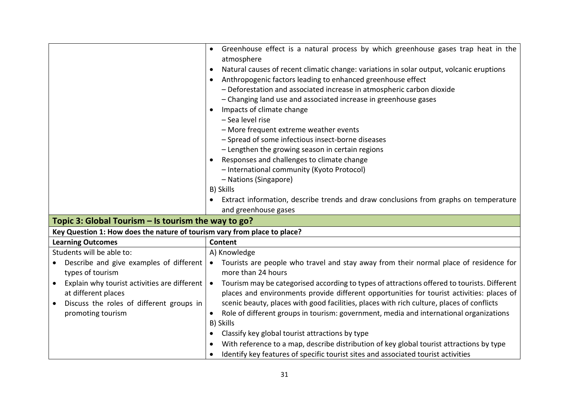|                                                                            | Greenhouse effect is a natural process by which greenhouse gases trap heat in the<br>atmosphere<br>Natural causes of recent climatic change: variations in solar output, volcanic eruptions<br>$\bullet$<br>Anthropogenic factors leading to enhanced greenhouse effect<br>- Deforestation and associated increase in atmospheric carbon dioxide<br>- Changing land use and associated increase in greenhouse gases<br>Impacts of climate change<br>- Sea level rise<br>- More frequent extreme weather events<br>- Spread of some infectious insect-borne diseases<br>- Lengthen the growing season in certain regions<br>Responses and challenges to climate change<br>- International community (Kyoto Protocol)<br>- Nations (Singapore) |  |
|----------------------------------------------------------------------------|----------------------------------------------------------------------------------------------------------------------------------------------------------------------------------------------------------------------------------------------------------------------------------------------------------------------------------------------------------------------------------------------------------------------------------------------------------------------------------------------------------------------------------------------------------------------------------------------------------------------------------------------------------------------------------------------------------------------------------------------|--|
|                                                                            | B) Skills<br>Extract information, describe trends and draw conclusions from graphs on temperature                                                                                                                                                                                                                                                                                                                                                                                                                                                                                                                                                                                                                                            |  |
|                                                                            | and greenhouse gases                                                                                                                                                                                                                                                                                                                                                                                                                                                                                                                                                                                                                                                                                                                         |  |
| Topic 3: Global Tourism – Is tourism the way to go?                        |                                                                                                                                                                                                                                                                                                                                                                                                                                                                                                                                                                                                                                                                                                                                              |  |
| Key Question 1: How does the nature of tourism vary from place to place?   |                                                                                                                                                                                                                                                                                                                                                                                                                                                                                                                                                                                                                                                                                                                                              |  |
| <b>Learning Outcomes</b>                                                   | Content                                                                                                                                                                                                                                                                                                                                                                                                                                                                                                                                                                                                                                                                                                                                      |  |
| Students will be able to:                                                  | A) Knowledge                                                                                                                                                                                                                                                                                                                                                                                                                                                                                                                                                                                                                                                                                                                                 |  |
| Describe and give examples of different                                    | Tourists are people who travel and stay away from their normal place of residence for                                                                                                                                                                                                                                                                                                                                                                                                                                                                                                                                                                                                                                                        |  |
| types of tourism                                                           | more than 24 hours                                                                                                                                                                                                                                                                                                                                                                                                                                                                                                                                                                                                                                                                                                                           |  |
| Explain why tourist activities are different                               | Tourism may be categorised according to types of attractions offered to tourists. Different<br>$\bullet$                                                                                                                                                                                                                                                                                                                                                                                                                                                                                                                                                                                                                                     |  |
| at different places                                                        | places and environments provide different opportunities for tourist activities: places of<br>scenic beauty, places with good facilities, places with rich culture, places of conflicts                                                                                                                                                                                                                                                                                                                                                                                                                                                                                                                                                       |  |
| Discuss the roles of different groups in<br>$\bullet$<br>promoting tourism | Role of different groups in tourism: government, media and international organizations                                                                                                                                                                                                                                                                                                                                                                                                                                                                                                                                                                                                                                                       |  |
|                                                                            | B) Skills                                                                                                                                                                                                                                                                                                                                                                                                                                                                                                                                                                                                                                                                                                                                    |  |
|                                                                            | Classify key global tourist attractions by type<br>$\bullet$                                                                                                                                                                                                                                                                                                                                                                                                                                                                                                                                                                                                                                                                                 |  |
|                                                                            | With reference to a map, describe distribution of key global tourist attractions by type                                                                                                                                                                                                                                                                                                                                                                                                                                                                                                                                                                                                                                                     |  |
|                                                                            | Identify key features of specific tourist sites and associated tourist activities                                                                                                                                                                                                                                                                                                                                                                                                                                                                                                                                                                                                                                                            |  |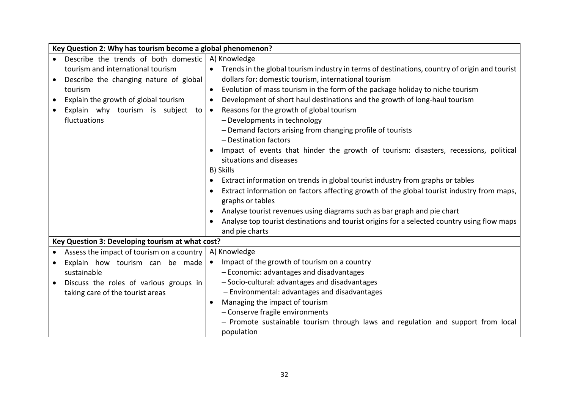|           | Key Question 2: Why has tourism become a global phenomenon?                 |                                                                                                                                                       |  |  |  |
|-----------|-----------------------------------------------------------------------------|-------------------------------------------------------------------------------------------------------------------------------------------------------|--|--|--|
|           | Describe the trends of both domestic                                        | A) Knowledge                                                                                                                                          |  |  |  |
| $\bullet$ | tourism and international tourism<br>Describe the changing nature of global | Trends in the global tourism industry in terms of destinations, country of origin and tourist<br>dollars for: domestic tourism, international tourism |  |  |  |
|           | tourism                                                                     | Evolution of mass tourism in the form of the package holiday to niche tourism<br>$\bullet$                                                            |  |  |  |
|           | Explain the growth of global tourism                                        | Development of short haul destinations and the growth of long-haul tourism                                                                            |  |  |  |
| $\bullet$ |                                                                             |                                                                                                                                                       |  |  |  |
|           | Explain why tourism is subject to $\bullet$                                 | Reasons for the growth of global tourism                                                                                                              |  |  |  |
|           | fluctuations                                                                | - Developments in technology                                                                                                                          |  |  |  |
|           |                                                                             | - Demand factors arising from changing profile of tourists                                                                                            |  |  |  |
|           |                                                                             | - Destination factors                                                                                                                                 |  |  |  |
|           |                                                                             | Impact of events that hinder the growth of tourism: disasters, recessions, political                                                                  |  |  |  |
|           |                                                                             | situations and diseases                                                                                                                               |  |  |  |
|           |                                                                             | B) Skills                                                                                                                                             |  |  |  |
|           |                                                                             | Extract information on trends in global tourist industry from graphs or tables                                                                        |  |  |  |
|           |                                                                             | Extract information on factors affecting growth of the global tourist industry from maps,                                                             |  |  |  |
|           |                                                                             | graphs or tables                                                                                                                                      |  |  |  |
|           |                                                                             | Analyse tourist revenues using diagrams such as bar graph and pie chart                                                                               |  |  |  |
|           |                                                                             | Analyse top tourist destinations and tourist origins for a selected country using flow maps                                                           |  |  |  |
|           |                                                                             | and pie charts                                                                                                                                        |  |  |  |
|           | Key Question 3: Developing tourism at what cost?                            |                                                                                                                                                       |  |  |  |
|           | Assess the impact of tourism on a country                                   | A) Knowledge                                                                                                                                          |  |  |  |
|           | Explain how tourism can be made                                             | Impact of the growth of tourism on a country<br>$\bullet$                                                                                             |  |  |  |
|           | sustainable                                                                 | - Economic: advantages and disadvantages                                                                                                              |  |  |  |
| $\bullet$ | Discuss the roles of various groups in                                      | - Socio-cultural: advantages and disadvantages                                                                                                        |  |  |  |
|           | taking care of the tourist areas                                            | - Environmental: advantages and disadvantages                                                                                                         |  |  |  |
|           |                                                                             | Managing the impact of tourism<br>$\bullet$                                                                                                           |  |  |  |
|           |                                                                             | - Conserve fragile environments                                                                                                                       |  |  |  |
|           |                                                                             | - Promote sustainable tourism through laws and regulation and support from local                                                                      |  |  |  |
|           |                                                                             | population                                                                                                                                            |  |  |  |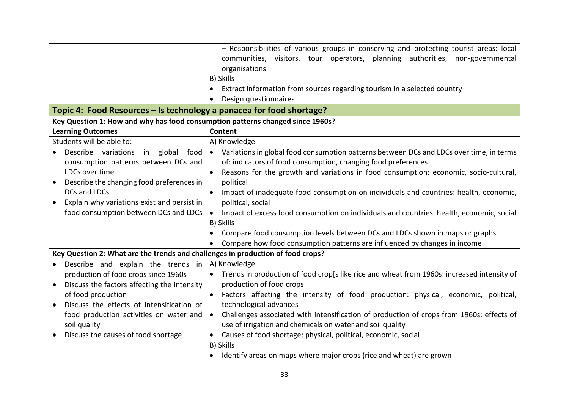|                                                                                 | - Responsibilities of various groups in conserving and protecting tourist areas: local<br>communities, visitors, tour operators, planning authorities, non-governmental<br>organisations<br>B) Skills |  |  |  |
|---------------------------------------------------------------------------------|-------------------------------------------------------------------------------------------------------------------------------------------------------------------------------------------------------|--|--|--|
|                                                                                 | Extract information from sources regarding tourism in a selected country                                                                                                                              |  |  |  |
|                                                                                 | Design questionnaires                                                                                                                                                                                 |  |  |  |
| Topic 4: Food Resources - Is technology a panacea for food shortage?            |                                                                                                                                                                                                       |  |  |  |
| Key Question 1: How and why has food consumption patterns changed since 1960s?  |                                                                                                                                                                                                       |  |  |  |
| <b>Learning Outcomes</b>                                                        | Content                                                                                                                                                                                               |  |  |  |
| Students will be able to:                                                       | A) Knowledge                                                                                                                                                                                          |  |  |  |
| Describe variations                                                             | in global food $\bullet$ Variations in global food consumption patterns between DCs and LDCs over time, in terms                                                                                      |  |  |  |
| consumption patterns between DCs and                                            | of: indicators of food consumption, changing food preferences                                                                                                                                         |  |  |  |
| LDCs over time                                                                  | Reasons for the growth and variations in food consumption: economic, socio-cultural,                                                                                                                  |  |  |  |
| Describe the changing food preferences in                                       | political                                                                                                                                                                                             |  |  |  |
| DCs and LDCs                                                                    | Impact of inadequate food consumption on individuals and countries: health, economic,                                                                                                                 |  |  |  |
| Explain why variations exist and persist in<br>$\bullet$                        | political, social                                                                                                                                                                                     |  |  |  |
| food consumption between DCs and LDCs                                           | Impact of excess food consumption on individuals and countries: health, economic, social                                                                                                              |  |  |  |
|                                                                                 | B) Skills                                                                                                                                                                                             |  |  |  |
|                                                                                 | Compare food consumption levels between DCs and LDCs shown in maps or graphs                                                                                                                          |  |  |  |
|                                                                                 | Compare how food consumption patterns are influenced by changes in income                                                                                                                             |  |  |  |
| Key Question 2: What are the trends and challenges in production of food crops? |                                                                                                                                                                                                       |  |  |  |
| Describe and explain the trends in<br>$\bullet$                                 | A) Knowledge                                                                                                                                                                                          |  |  |  |
| production of food crops since 1960s                                            | Trends in production of food crop[s like rice and wheat from 1960s: increased intensity of                                                                                                            |  |  |  |
| Discuss the factors affecting the intensity<br>$\bullet$                        | production of food crops                                                                                                                                                                              |  |  |  |
| of food production                                                              | Factors affecting the intensity of food production: physical, economic, political,                                                                                                                    |  |  |  |
| Discuss the effects of intensification of<br>$\bullet$                          | technological advances                                                                                                                                                                                |  |  |  |
| food production activities on water and<br>soil quality                         | Challenges associated with intensification of production of crops from 1960s: effects of<br>use of irrigation and chemicals on water and soil quality                                                 |  |  |  |
| Discuss the causes of food shortage                                             | Causes of food shortage: physical, political, economic, social                                                                                                                                        |  |  |  |
|                                                                                 | B) Skills                                                                                                                                                                                             |  |  |  |
|                                                                                 | Identify areas on maps where major crops (rice and wheat) are grown                                                                                                                                   |  |  |  |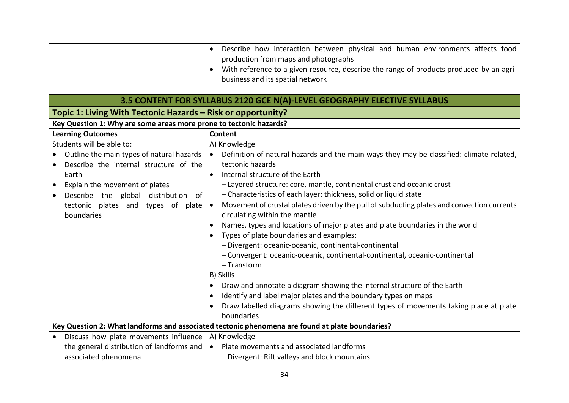|  | Describe how interaction between physical and human environments affects food           |
|--|-----------------------------------------------------------------------------------------|
|  | production from maps and photographs                                                    |
|  | With reference to a given resource, describe the range of products produced by an agri- |
|  | business and its spatial network                                                        |

| 3.5 CONTENT FOR SYLLABUS 2120 GCE N(A)-LEVEL GEOGRAPHY ELECTIVE SYLLABUS                                                                                                                                                                                                              |                                                                                                                                                                                                                                                                                                                                                                                                                                                                                                                                                                                                                                                                                                                                              |  |  |  |
|---------------------------------------------------------------------------------------------------------------------------------------------------------------------------------------------------------------------------------------------------------------------------------------|----------------------------------------------------------------------------------------------------------------------------------------------------------------------------------------------------------------------------------------------------------------------------------------------------------------------------------------------------------------------------------------------------------------------------------------------------------------------------------------------------------------------------------------------------------------------------------------------------------------------------------------------------------------------------------------------------------------------------------------------|--|--|--|
| Topic 1: Living With Tectonic Hazards - Risk or opportunity?                                                                                                                                                                                                                          |                                                                                                                                                                                                                                                                                                                                                                                                                                                                                                                                                                                                                                                                                                                                              |  |  |  |
| Key Question 1: Why are some areas more prone to tectonic hazards?                                                                                                                                                                                                                    |                                                                                                                                                                                                                                                                                                                                                                                                                                                                                                                                                                                                                                                                                                                                              |  |  |  |
| <b>Learning Outcomes</b>                                                                                                                                                                                                                                                              | Content                                                                                                                                                                                                                                                                                                                                                                                                                                                                                                                                                                                                                                                                                                                                      |  |  |  |
| Students will be able to:<br>Outline the main types of natural hazards  <br>Describe the internal structure of the<br>Earth<br>Explain the movement of plates<br>$\bullet$<br>Describe the global distribution<br>_of l<br>tectonic plates and types of plate $\bullet$<br>boundaries | A) Knowledge<br>Definition of natural hazards and the main ways they may be classified: climate-related,<br>$\bullet$<br>tectonic hazards<br>Internal structure of the Earth<br>- Layered structure: core, mantle, continental crust and oceanic crust<br>- Characteristics of each layer: thickness, solid or liquid state<br>Movement of crustal plates driven by the pull of subducting plates and convection currents<br>circulating within the mantle<br>Names, types and locations of major plates and plate boundaries in the world<br>Types of plate boundaries and examples:<br>- Divergent: oceanic-oceanic, continental-continental<br>- Convergent: oceanic-oceanic, continental-continental, oceanic-continental<br>- Transform |  |  |  |
|                                                                                                                                                                                                                                                                                       | B) Skills<br>Draw and annotate a diagram showing the internal structure of the Earth<br>Identify and label major plates and the boundary types on maps<br>Draw labelled diagrams showing the different types of movements taking place at plate<br>boundaries                                                                                                                                                                                                                                                                                                                                                                                                                                                                                |  |  |  |
| Key Question 2: What landforms and associated tectonic phenomena are found at plate boundaries?                                                                                                                                                                                       |                                                                                                                                                                                                                                                                                                                                                                                                                                                                                                                                                                                                                                                                                                                                              |  |  |  |
| Discuss how plate movements influence<br>$\bullet$<br>the general distribution of landforms and<br>associated phenomena                                                                                                                                                               | A) Knowledge<br>• Plate movements and associated landforms<br>- Divergent: Rift valleys and block mountains                                                                                                                                                                                                                                                                                                                                                                                                                                                                                                                                                                                                                                  |  |  |  |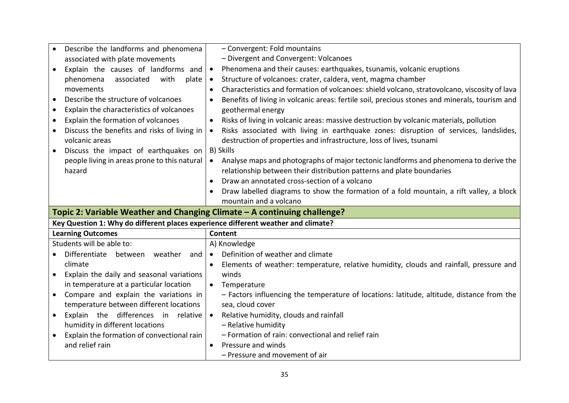| Describe the landforms and phenomena                                              | - Convergent: Fold mountains                                                                              |  |  |
|-----------------------------------------------------------------------------------|-----------------------------------------------------------------------------------------------------------|--|--|
| associated with plate movements                                                   | - Divergent and Convergent: Volcanoes                                                                     |  |  |
| Explain the causes of landforms and<br>$\bullet$                                  | Phenomena and their causes: earthquakes, tsunamis, volcanic eruptions<br>$\bullet$                        |  |  |
| phenomena<br>associated<br>with<br>plate                                          | Structure of volcanoes: crater, caldera, vent, magma chamber<br>$\bullet$                                 |  |  |
| movements                                                                         | Characteristics and formation of volcanoes: shield volcano, stratovolcano, viscosity of lava<br>$\bullet$ |  |  |
| Describe the structure of volcanoes<br>$\bullet$                                  | Benefits of living in volcanic areas: fertile soil, precious stones and minerals, tourism and             |  |  |
| Explain the characteristics of volcanoes<br>$\bullet$                             | geothermal energy                                                                                         |  |  |
| Explain the formation of volcanoes<br>$\bullet$                                   | Risks of living in volcanic areas: massive destruction by volcanic materials, pollution                   |  |  |
| Discuss the benefits and risks of living in<br>$\bullet$                          | Risks associated with living in earthquake zones: disruption of services, landslides,<br>$\bullet$        |  |  |
| volcanic areas                                                                    | destruction of properties and infrastructure, loss of lives, tsunami                                      |  |  |
| Discuss the impact of earthquakes on<br>$\bullet$                                 | B) Skills                                                                                                 |  |  |
| people living in areas prone to this natural                                      | Analyse maps and photographs of major tectonic landforms and phenomena to derive the<br>$\bullet$         |  |  |
| hazard                                                                            | relationship between their distribution patterns and plate boundaries                                     |  |  |
|                                                                                   | Draw an annotated cross-section of a volcano<br>$\bullet$                                                 |  |  |
|                                                                                   | Draw labelled diagrams to show the formation of a fold mountain, a rift valley, a block                   |  |  |
|                                                                                   | mountain and a volcano                                                                                    |  |  |
|                                                                                   |                                                                                                           |  |  |
| Topic 2: Variable Weather and Changing Climate - A continuing challenge?          |                                                                                                           |  |  |
| Key Question 1: Why do different places experience different weather and climate? |                                                                                                           |  |  |
| <b>Learning Outcomes</b>                                                          | Content                                                                                                   |  |  |
| Students will be able to:                                                         | A) Knowledge                                                                                              |  |  |
| Differentiate<br>between weather<br>and                                           | Definition of weather and climate<br>$\bullet$                                                            |  |  |
| climate                                                                           | Elements of weather: temperature, relative humidity, clouds and rainfall, pressure and                    |  |  |
| Explain the daily and seasonal variations<br>$\bullet$                            | winds                                                                                                     |  |  |
| in temperature at a particular location                                           | Temperature<br>$\bullet$                                                                                  |  |  |
| Compare and explain the variations in<br>$\bullet$                                | - Factors influencing the temperature of locations: latitude, altitude, distance from the                 |  |  |
| temperature between different locations                                           | sea, cloud cover                                                                                          |  |  |
| Explain the differences in relative<br>$\bullet$                                  | Relative humidity, clouds and rainfall<br>$\bullet$                                                       |  |  |
| humidity in different locations                                                   | - Relative humidity                                                                                       |  |  |
| Explain the formation of convectional rain<br>$\bullet$                           | - Formation of rain: convectional and relief rain                                                         |  |  |
| and relief rain                                                                   | Pressure and winds                                                                                        |  |  |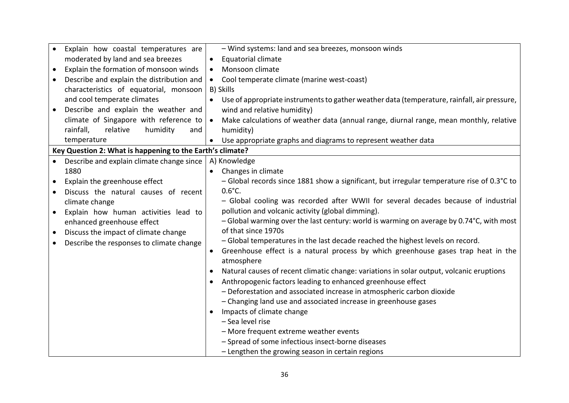|           | Explain how coastal temperatures are                      |           | - Wind systems: land and sea breezes, monsoon winds                                                   |
|-----------|-----------------------------------------------------------|-----------|-------------------------------------------------------------------------------------------------------|
|           | moderated by land and sea breezes                         | $\bullet$ | Equatorial climate                                                                                    |
| $\bullet$ | Explain the formation of monsoon winds                    |           | Monsoon climate                                                                                       |
| $\bullet$ | Describe and explain the distribution and                 |           | Cool temperate climate (marine west-coast)                                                            |
|           | characteristics of equatorial, monsoon                    |           | B) Skills                                                                                             |
|           | and cool temperate climates                               |           | Use of appropriate instruments to gather weather data (temperature, rainfall, air pressure,           |
| $\bullet$ | Describe and explain the weather and                      |           | wind and relative humidity)                                                                           |
|           | climate of Singapore with reference to                    |           | Make calculations of weather data (annual range, diurnal range, mean monthly, relative                |
|           | rainfall,<br>relative<br>humidity<br>and                  |           | humidity)                                                                                             |
|           | temperature                                               |           | Use appropriate graphs and diagrams to represent weather data                                         |
|           | Key Question 2: What is happening to the Earth's climate? |           |                                                                                                       |
|           | Describe and explain climate change since                 |           | A) Knowledge                                                                                          |
|           | 1880                                                      |           | Changes in climate                                                                                    |
| $\bullet$ | Explain the greenhouse effect                             |           | - Global records since 1881 show a significant, but irregular temperature rise of 0.3 $^{\circ}$ C to |
| $\bullet$ | Discuss the natural causes of recent                      |           | $0.6^{\circ}$ C.                                                                                      |
|           | climate change                                            |           | - Global cooling was recorded after WWII for several decades because of industrial                    |
| $\bullet$ | Explain how human activities lead to                      |           | pollution and volcanic activity (global dimming).                                                     |
|           | enhanced greenhouse effect                                |           | - Global warming over the last century: world is warming on average by 0.74°C, with most              |
| $\bullet$ | Discuss the impact of climate change                      |           | of that since 1970s                                                                                   |
| $\bullet$ | Describe the responses to climate change                  |           | - Global temperatures in the last decade reached the highest levels on record.                        |
|           |                                                           | $\bullet$ | Greenhouse effect is a natural process by which greenhouse gases trap heat in the                     |
|           |                                                           |           | atmosphere                                                                                            |
|           |                                                           |           | Natural causes of recent climatic change: variations in solar output, volcanic eruptions              |
|           |                                                           |           | Anthropogenic factors leading to enhanced greenhouse effect                                           |
|           |                                                           |           | - Deforestation and associated increase in atmospheric carbon dioxide                                 |
|           |                                                           |           | - Changing land use and associated increase in greenhouse gases                                       |
|           |                                                           |           | Impacts of climate change                                                                             |
|           |                                                           |           | - Sea level rise                                                                                      |
|           |                                                           |           | - More frequent extreme weather events                                                                |
|           |                                                           |           | - Spread of some infectious insect-borne diseases                                                     |
|           |                                                           |           | - Lengthen the growing season in certain regions                                                      |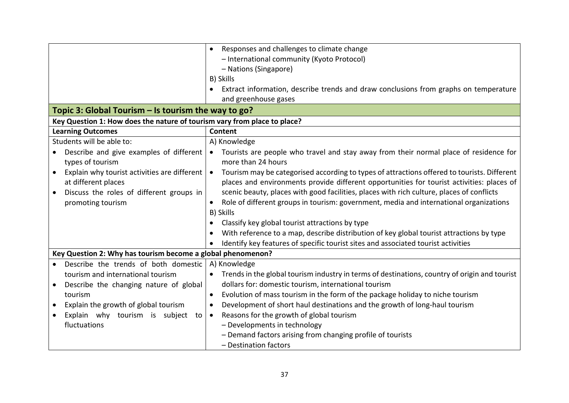|                                                                          | Responses and challenges to climate change<br>$\bullet$                                                  |  |  |  |
|--------------------------------------------------------------------------|----------------------------------------------------------------------------------------------------------|--|--|--|
|                                                                          | - International community (Kyoto Protocol)                                                               |  |  |  |
|                                                                          | - Nations (Singapore)                                                                                    |  |  |  |
|                                                                          | B) Skills                                                                                                |  |  |  |
|                                                                          | Extract information, describe trends and draw conclusions from graphs on temperature                     |  |  |  |
|                                                                          | and greenhouse gases                                                                                     |  |  |  |
| Topic 3: Global Tourism - Is tourism the way to go?                      |                                                                                                          |  |  |  |
| Key Question 1: How does the nature of tourism vary from place to place? |                                                                                                          |  |  |  |
| <b>Learning Outcomes</b>                                                 | Content                                                                                                  |  |  |  |
| Students will be able to:                                                | A) Knowledge                                                                                             |  |  |  |
| Describe and give examples of different                                  | Tourists are people who travel and stay away from their normal place of residence for<br>$\bullet$       |  |  |  |
| types of tourism                                                         | more than 24 hours                                                                                       |  |  |  |
| Explain why tourist activities are different<br>$\bullet$                | Tourism may be categorised according to types of attractions offered to tourists. Different<br>$\bullet$ |  |  |  |
| at different places                                                      | places and environments provide different opportunities for tourist activities: places of                |  |  |  |
| Discuss the roles of different groups in                                 | scenic beauty, places with good facilities, places with rich culture, places of conflicts                |  |  |  |
| promoting tourism                                                        | Role of different groups in tourism: government, media and international organizations                   |  |  |  |
|                                                                          | B) Skills                                                                                                |  |  |  |
|                                                                          | Classify key global tourist attractions by type                                                          |  |  |  |
|                                                                          | With reference to a map, describe distribution of key global tourist attractions by type                 |  |  |  |
|                                                                          | Identify key features of specific tourist sites and associated tourist activities                        |  |  |  |
| Key Question 2: Why has tourism become a global phenomenon?              |                                                                                                          |  |  |  |
| Describe the trends of both domestic                                     | A) Knowledge                                                                                             |  |  |  |
| tourism and international tourism                                        | Trends in the global tourism industry in terms of destinations, country of origin and tourist            |  |  |  |
| Describe the changing nature of global<br>$\bullet$                      | dollars for: domestic tourism, international tourism                                                     |  |  |  |
| tourism                                                                  | Evolution of mass tourism in the form of the package holiday to niche tourism<br>$\bullet$               |  |  |  |
| Explain the growth of global tourism<br>$\bullet$                        | Development of short haul destinations and the growth of long-haul tourism                               |  |  |  |
| Explain why tourism is subject to<br>$\bullet$                           | Reasons for the growth of global tourism<br>$\bullet$                                                    |  |  |  |
| fluctuations                                                             | - Developments in technology                                                                             |  |  |  |
|                                                                          | - Demand factors arising from changing profile of tourists                                               |  |  |  |
|                                                                          | - Destination factors                                                                                    |  |  |  |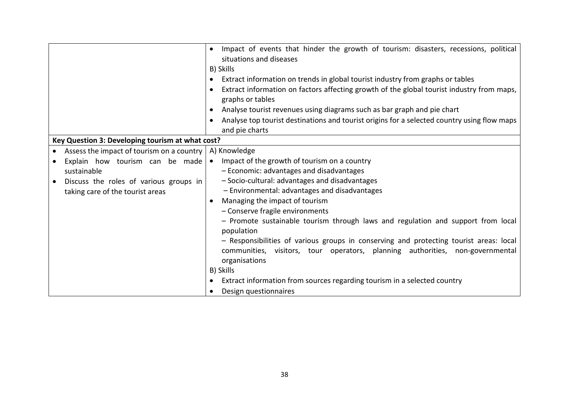|                                                        | Impact of events that hinder the growth of tourism: disasters, recessions, political<br>situations and diseases |  |  |  |
|--------------------------------------------------------|-----------------------------------------------------------------------------------------------------------------|--|--|--|
|                                                        | B) Skills                                                                                                       |  |  |  |
|                                                        |                                                                                                                 |  |  |  |
|                                                        | Extract information on trends in global tourist industry from graphs or tables                                  |  |  |  |
|                                                        | Extract information on factors affecting growth of the global tourist industry from maps,<br>graphs or tables   |  |  |  |
|                                                        | Analyse tourist revenues using diagrams such as bar graph and pie chart                                         |  |  |  |
|                                                        | Analyse top tourist destinations and tourist origins for a selected country using flow maps                     |  |  |  |
|                                                        | and pie charts                                                                                                  |  |  |  |
| Key Question 3: Developing tourism at what cost?       |                                                                                                                 |  |  |  |
| Assess the impact of tourism on a country<br>$\bullet$ | A) Knowledge                                                                                                    |  |  |  |
| Explain how tourism can be made                        | Impact of the growth of tourism on a country                                                                    |  |  |  |
| sustainable                                            | - Economic: advantages and disadvantages                                                                        |  |  |  |
| Discuss the roles of various groups in<br>$\bullet$    | - Socio-cultural: advantages and disadvantages                                                                  |  |  |  |
| taking care of the tourist areas                       | - Environmental: advantages and disadvantages                                                                   |  |  |  |
|                                                        | Managing the impact of tourism                                                                                  |  |  |  |
|                                                        | - Conserve fragile environments                                                                                 |  |  |  |
|                                                        | - Promote sustainable tourism through laws and regulation and support from local                                |  |  |  |
|                                                        | population                                                                                                      |  |  |  |
|                                                        | - Responsibilities of various groups in conserving and protecting tourist areas: local                          |  |  |  |
|                                                        | communities, visitors, tour operators, planning authorities, non-governmental                                   |  |  |  |
|                                                        | organisations                                                                                                   |  |  |  |
|                                                        |                                                                                                                 |  |  |  |
|                                                        | B) Skills                                                                                                       |  |  |  |
|                                                        | Extract information from sources regarding tourism in a selected country                                        |  |  |  |
|                                                        | Design questionnaires                                                                                           |  |  |  |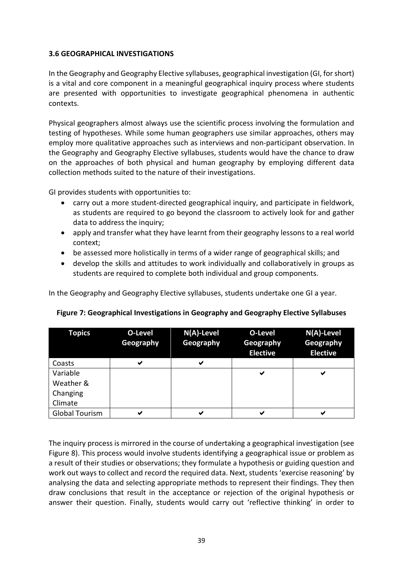#### **3.6 GEOGRAPHICAL INVESTIGATIONS**

In the Geography and Geography Elective syllabuses, geographical investigation (GI, for short) is a vital and core component in a meaningful geographical inquiry process where students are presented with opportunities to investigate geographical phenomena in authentic contexts.

Physical geographers almost always use the scientific process involving the formulation and testing of hypotheses. While some human geographers use similar approaches, others may employ more qualitative approaches such as interviews and non-participant observation. In the Geography and Geography Elective syllabuses, students would have the chance to draw on the approaches of both physical and human geography by employing different data collection methods suited to the nature of their investigations.

GI provides students with opportunities to:

- carry out a more student-directed geographical inquiry, and participate in fieldwork, as students are required to go beyond the classroom to actively look for and gather data to address the inquiry;
- apply and transfer what they have learnt from their geography lessons to a real world context;
- be assessed more holistically in terms of a wider range of geographical skills; and
- develop the skills and attitudes to work individually and collaboratively in groups as students are required to complete both individual and group components.

In the Geography and Geography Elective syllabuses, students undertake one GI a year.

| <b>Topics</b>         | O-Level<br>Geography | N(A)-Level<br>Geography | <b>O-Level</b><br>Geography<br><b>Elective</b> | N(A)-Level<br>Geography<br><b>Elective</b> |
|-----------------------|----------------------|-------------------------|------------------------------------------------|--------------------------------------------|
| Coasts                | ✔                    | ✔                       |                                                |                                            |
| Variable              |                      |                         | ✔                                              | ✔                                          |
| Weather &             |                      |                         |                                                |                                            |
| Changing              |                      |                         |                                                |                                            |
| Climate               |                      |                         |                                                |                                            |
| <b>Global Tourism</b> | ✔                    | ✔                       | ✔                                              | ✔                                          |

#### **Figure 7: Geographical Investigations in Geography and Geography Elective Syllabuses**

The inquiry process is mirrored in the course of undertaking a geographical investigation (see Figure 8). This process would involve students identifying a geographical issue or problem as a result of their studies or observations; they formulate a hypothesis or guiding question and work out ways to collect and record the required data. Next, students 'exercise reasoning' by analysing the data and selecting appropriate methods to represent their findings. They then draw conclusions that result in the acceptance or rejection of the original hypothesis or answer their question. Finally, students would carry out 'reflective thinking' in order to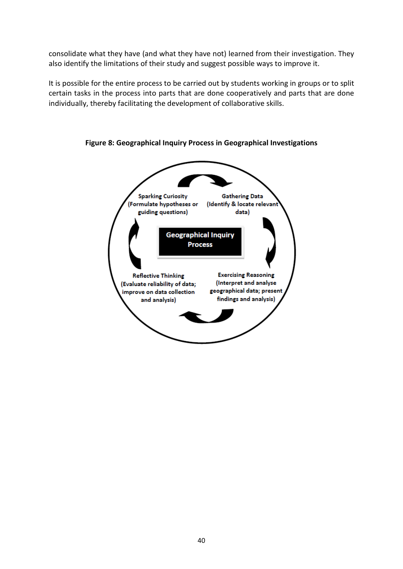consolidate what they have (and what they have not) learned from their investigation. They also identify the limitations of their study and suggest possible ways to improve it.

It is possible for the entire process to be carried out by students working in groups or to split certain tasks in the process into parts that are done cooperatively and parts that are done individually, thereby facilitating the development of collaborative skills.



**Figure 8: Geographical Inquiry Process in Geographical Investigations**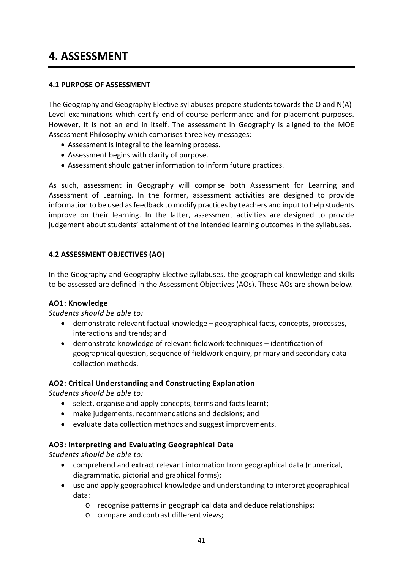### **4. ASSESSMENT**

#### **4.1 PURPOSE OF ASSESSMENT**

The Geography and Geography Elective syllabuses prepare students towards the O and N(A)- Level examinations which certify end-of-course performance and for placement purposes. However, it is not an end in itself. The assessment in Geography is aligned to the MOE Assessment Philosophy which comprises three key messages:

- Assessment is integral to the learning process.
- Assessment begins with clarity of purpose.
- Assessment should gather information to inform future practices.

As such, assessment in Geography will comprise both Assessment for Learning and Assessment of Learning. In the former, assessment activities are designed to provide information to be used as feedback to modify practices by teachers and input to help students improve on their learning. In the latter, assessment activities are designed to provide judgement about students' attainment of the intended learning outcomes in the syllabuses.

#### **4.2 ASSESSMENT OBJECTIVES (AO)**

In the Geography and Geography Elective syllabuses, the geographical knowledge and skills to be assessed are defined in the Assessment Objectives (AOs). These AOs are shown below.

#### **AO1: Knowledge**

#### *Students should be able to:*

- demonstrate relevant factual knowledge geographical facts, concepts, processes, interactions and trends; and
- demonstrate knowledge of relevant fieldwork techniques identification of geographical question, sequence of fieldwork enquiry, primary and secondary data collection methods.

#### **AO2: Critical Understanding and Constructing Explanation**

*Students should be able to:*

- select, organise and apply concepts, terms and facts learnt;
- make judgements, recommendations and decisions; and
- evaluate data collection methods and suggest improvements.

#### **AO3: Interpreting and Evaluating Geographical Data**

*Students should be able to:*

- comprehend and extract relevant information from geographical data (numerical, diagrammatic, pictorial and graphical forms);
- use and apply geographical knowledge and understanding to interpret geographical data:
	- o recognise patterns in geographical data and deduce relationships;
	- o compare and contrast different views;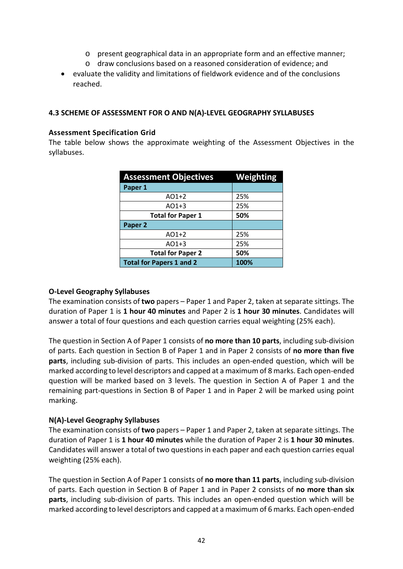- o present geographical data in an appropriate form and an effective manner;
- o draw conclusions based on a reasoned consideration of evidence; and
- evaluate the validity and limitations of fieldwork evidence and of the conclusions reached.

#### **4.3 SCHEME OF ASSESSMENT FOR O AND N(A)-LEVEL GEOGRAPHY SYLLABUSES**

#### **Assessment Specification Grid**

The table below shows the approximate weighting of the Assessment Objectives in the syllabuses.

| <b>Assessment Objectives</b>    | <b>Weighting</b> |
|---------------------------------|------------------|
| Paper 1                         |                  |
| $AO1+2$                         | 25%              |
| $AO1+3$                         | 25%              |
| <b>Total for Paper 1</b>        | 50%              |
| Paper 2                         |                  |
| $AO1+2$                         | 25%              |
| $AO1+3$                         | 25%              |
| <b>Total for Paper 2</b>        | 50%              |
| <b>Total for Papers 1 and 2</b> | 100%             |

#### **O-Level Geography Syllabuses**

The examination consists of **two** papers – Paper 1 and Paper 2, taken at separate sittings. The duration of Paper 1 is **1 hour 40 minutes** and Paper 2 is **1 hour 30 minutes**. Candidates will answer a total of four questions and each question carries equal weighting (25% each).

The question in Section A of Paper 1 consists of **no more than 10 parts**, including sub-division of parts. Each question in Section B of Paper 1 and in Paper 2 consists of **no more than five parts**, including sub-division of parts. This includes an open-ended question, which will be marked according to level descriptors and capped at a maximum of 8 marks. Each open-ended question will be marked based on 3 levels. The question in Section A of Paper 1 and the remaining part-questions in Section B of Paper 1 and in Paper 2 will be marked using point marking.

#### **N(A)-Level Geography Syllabuses**

The examination consists of **two** papers – Paper 1 and Paper 2, taken at separate sittings. The duration of Paper 1 is **1 hour 40 minutes** while the duration of Paper 2 is **1 hour 30 minutes**. Candidates will answer a total of two questions in each paper and each question carries equal weighting (25% each).

The question in Section A of Paper 1 consists of **no more than 11 parts**, including sub-division of parts. Each question in Section B of Paper 1 and in Paper 2 consists of **no more than six parts**, including sub-division of parts. This includes an open-ended question which will be marked according to level descriptors and capped at a maximum of 6 marks. Each open-ended